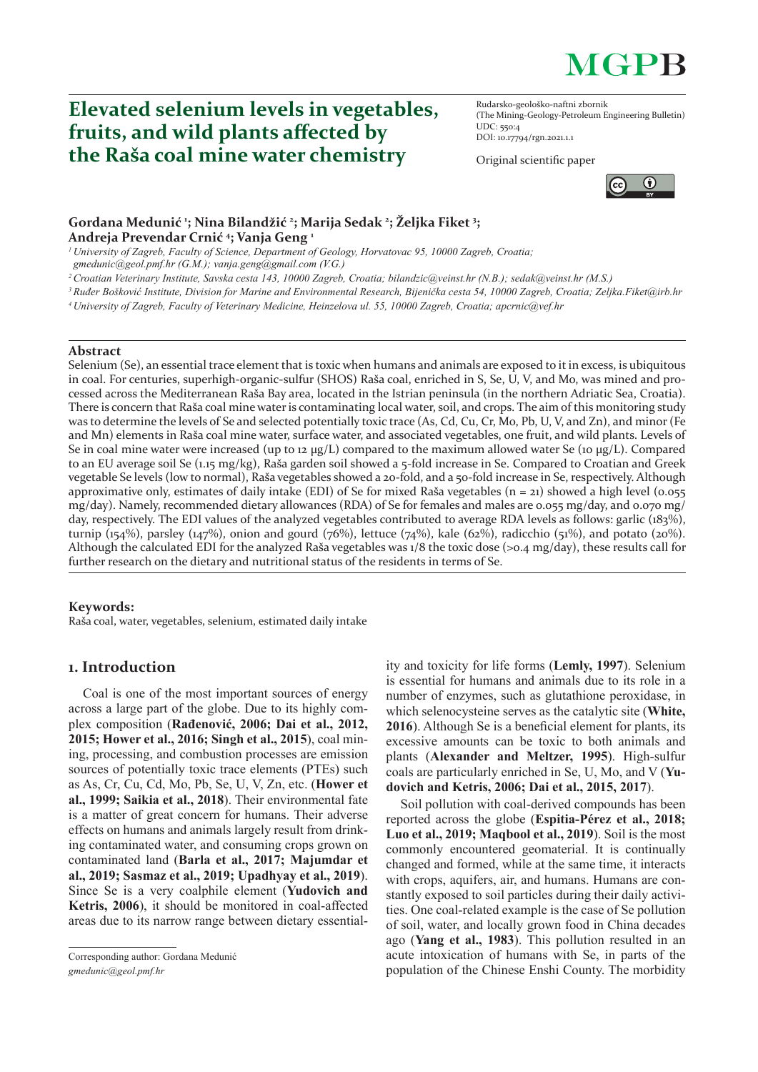# **MGPB**

## **Elevated selenium levels in vegetables, fruits, and wild plants aff ected by the Raša coal mine water chemistry**

Rudarsko-geološko-naftni zbornik (The Mining-Geology-Petroleum Engineering Bulletin) UDC: 550:4 DOI: 10.17794/rgn.2021.1.1

Original scientific paper



## **Gordana Medunić <sup>1</sup> ; Nina Bilandžić <sup>2</sup> ; Marija Sedak 2 ; Željka Fiket 3 ; Andreja Prevendar Crnić <sup>4</sup> ; Vanja Geng 1**

*1 University of Zagreb, Faculty of Science, Department of Geology, Horvatovac 95, 10000 Zagreb, Croatia;* 

*gmedunic@geol.pmf.hr (G.M.); vanja.geng@gmail.com (V.G.)*

*2 Croatian Veterinary Institute, Savska cesta 143, 10000 Zagreb, Croatia; bilandzic@veinst.hr (N.B.); sedak@veinst.hr (M.S.)*

*3 Ruđer Bošković Institute, Division for Marine and Environmental Research, Bijenička cesta 54, 10000 Zagreb, Croatia; Zeljka.Fiket@irb.hr*

*4 University of Zagreb, Faculty of Veterinary Medicine, Heinzelova ul. 55, 10000 Zagreb, Croatia; apcrnic@vef.hr*

#### **Abstract**

Selenium (Se), an essential trace element that is toxic when humans and animals are exposed to it in excess, is ubiquitous in coal. For centuries, superhigh-organic-sulfur (SHOS) Raša coal, enriched in S, Se, U, V, and Mo, was mined and processed across the Mediterranean Raša Bay area, located in the Istrian peninsula (in the northern Adriatic Sea, Croatia). There is concern that Raša coal mine water is contaminating local water, soil, and crops. The aim of this monitoring study was to determine the levels of Se and selected potentially toxic trace (As, Cd, Cu, Cr, Mo, Pb, U, V, and Zn), and minor (Fe and Mn) elements in Raša coal mine water, surface water, and associated vegetables, one fruit, and wild plants. Levels of Se in coal mine water were increased (up to 12  $\mu$ g/L) compared to the maximum allowed water Se (10  $\mu$ g/L). Compared to an EU average soil Se (1.15 mg/kg), Raša garden soil showed a 5-fold increase in Se. Compared to Croatian and Greek vegetable Se levels (low to normal), Raša vegetables showed a 20-fold, and a 50-fold increase in Se, respectively. Although approximative only, estimates of daily intake (EDI) of Se for mixed Raša vegetables ( $n = 21$ ) showed a high level (0.055 mg/day). Namely, recommended dietary allowances (RDA) of Se for females and males are 0.055 mg/day, and 0.070 mg/ day, respectively. The EDI values of the analyzed vegetables contributed to average RDA levels as follows: garlic (183%), turnip (154%), parsley (147%), onion and gourd (76%), lettuce (74%), kale (62%), radicchio (51%), and potato (20%). Although the calculated EDI for the analyzed Raša vegetables was 1/8 the toxic dose (>0.4 mg/day), these results call for further research on the dietary and nutritional status of the residents in terms of Se.

#### **Keywords:**

Raša coal, water, vegetables, selenium, estimated daily intake

## **1. Introduction**

Coal is one of the most important sources of energy across a large part of the globe. Due to its highly complex composition (**Rađenović, 2006; Dai et al., 2012, 2015; Hower et al., 2016; Singh et al., 2015**), coal mining, processing, and combustion processes are emission sources of potentially toxic trace elements (PTEs) such as As, Cr, Cu, Cd, Mo, Pb, Se, U, V, Zn, etc. (**Hower et al., 1999; Saikia et al., 2018**). Their environmental fate is a matter of great concern for humans. Their adverse effects on humans and animals largely result from drinking contaminated water, and consuming crops grown on contaminated land (**Barla et al., 2017; Majumdar et al., 2019; Sasmaz et al., 2019; Upadhyay et al., 2019**). Since Se is a very coalphile element (**Yudovich and Ketris, 2006**), it should be monitored in coal-affected areas due to its narrow range between dietary essentiality and toxicity for life forms (**Lemly, 1997**). Selenium is essential for humans and animals due to its role in a number of enzymes, such as glutathione peroxidase, in which selenocysteine serves as the catalytic site (**White, 2016**). Although Se is a beneficial element for plants, its excessive amounts can be toxic to both animals and plants (**Alexander and Meltzer, 1995**). High-sulfur coals are particularly enriched in Se, U, Mo, and V (**Yudovich and Ketris, 2006; Dai et al., 2015, 2017**).

Soil pollution with coal-derived compounds has been reported across the globe (**Espitia-Pérez et al., 2018; Luo et al., 2019; Maqbool et al., 2019**). Soil is the most commonly encountered geomaterial. It is continually changed and formed, while at the same time, it interacts with crops, aquifers, air, and humans. Humans are constantly exposed to soil particles during their daily activities. One coal-related example is the case of Se pollution of soil, water, and locally grown food in China decades ago (**Yang et al., 1983**). This pollution resulted in an acute intoxication of humans with Se, in parts of the population of the Chinese Enshi County. The morbidity

Corresponding author: Gordana Medunić *gmedunic@geol.pmf.hr*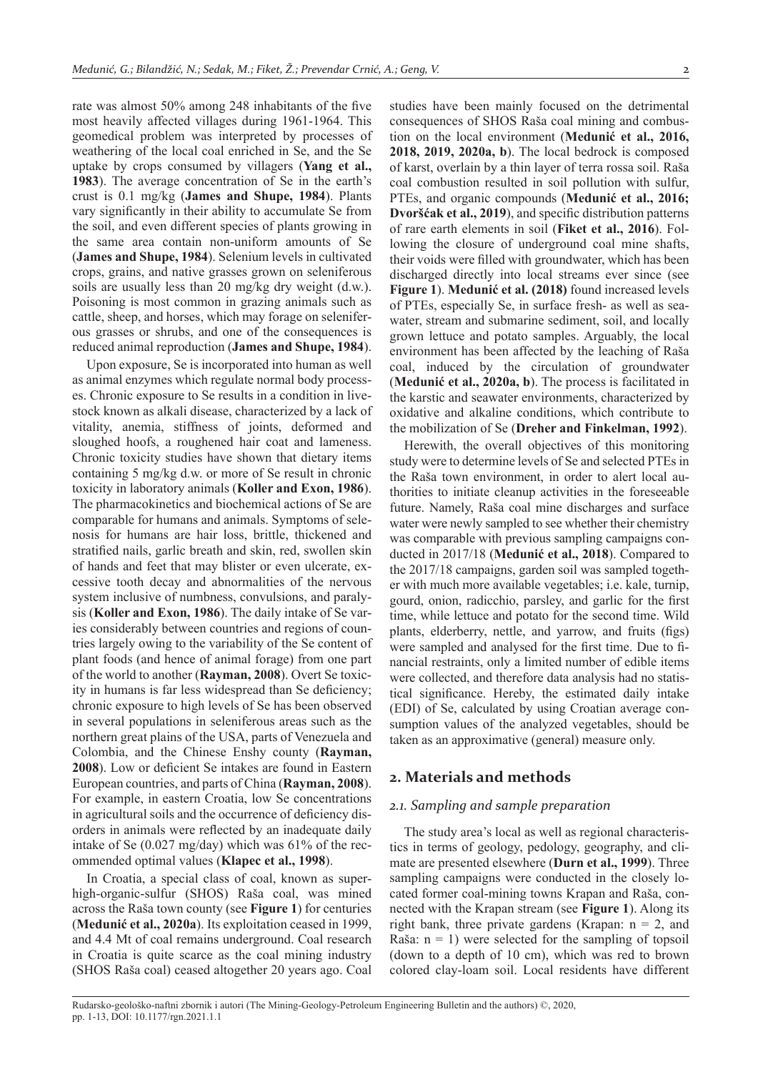rate was almost 50% among 248 inhabitants of the five most heavily affected villages during 1961-1964. This geomedical problem was interpreted by processes of weathering of the local coal enriched in Se, and the Se uptake by crops consumed by villagers (**Yang et al., 1983**). The average concentration of Se in the earth's crust is 0.1 mg/kg (**James and Shupe, 1984**). Plants vary significantly in their ability to accumulate Se from the soil, and even different species of plants growing in the same area contain non-uniform amounts of Se (**James and Shupe, 1984**). Selenium levels in cultivated crops, grains, and native grasses grown on seleniferous soils are usually less than 20 mg/kg dry weight (d.w.). Poisoning is most common in grazing animals such as cattle, sheep, and horses, which may forage on seleniferous grasses or shrubs, and one of the consequences is reduced animal reproduction (**James and Shupe, 1984**).

Upon exposure, Se is incorporated into human as well as animal enzymes which regulate normal body processes. Chronic exposure to Se results in a condition in livestock known as alkali disease, characterized by a lack of vitality, anemia, stiffness of joints, deformed and sloughed hoofs, a roughened hair coat and lameness. Chronic toxicity studies have shown that dietary items containing 5 mg/kg d.w. or more of Se result in chronic toxicity in laboratory animals (**Koller and Exon, 1986**). The pharmacokinetics and biochemical actions of Se are comparable for humans and animals. Symptoms of selenosis for humans are hair loss, brittle, thickened and stratified nails, garlic breath and skin, red, swollen skin of hands and feet that may blister or even ulcerate, excessive tooth decay and abnormalities of the nervous system inclusive of numbness, convulsions, and paralysis (**Koller and Exon, 1986**). The daily intake of Se varies considerably between countries and regions of countries largely owing to the variability of the Se content of plant foods (and hence of animal forage) from one part of the world to another (**Rayman, 2008**). Overt Se toxicity in humans is far less widespread than Se deficiency; chronic exposure to high levels of Se has been observed in several populations in seleniferous areas such as the northern great plains of the USA, parts of Venezuela and Colombia, and the Chinese Enshy county (**Rayman, 2008**). Low or deficient Se intakes are found in Eastern European countries, and parts of China (**Rayman, 2008**). For example, in eastern Croatia, low Se concentrations in agricultural soils and the occurrence of deficiency disorders in animals were reflected by an inadequate daily intake of Se (0.027 mg/day) which was 61% of the recommended optimal values (**Klapec et al., 1998**).

In Croatia, a special class of coal, known as superhigh-organic-sulfur (SHOS) Raša coal, was mined across the Raša town county (see **Figure 1**) for centuries (**Medunić et al., 2020a**). Its exploitation ceased in 1999, and 4.4 Mt of coal remains underground. Coal research in Croatia is quite scarce as the coal mining industry (SHOS Raša coal) ceased altogether 20 years ago. Coal

studies have been mainly focused on the detrimental consequences of SHOS Raša coal mining and combustion on the local environment (**Medunić et al., 2016, 2018, 2019, 2020a, b**). The local bedrock is composed of karst, overlain by a thin layer of terra rossa soil. Raša coal combustion resulted in soil pollution with sulfur, PTEs, and organic compounds (**Medunić et al., 2016; Dvoršćak et al., 2019**), and specific distribution patterns of rare earth elements in soil (**Fiket et al., 2016**). Following the closure of underground coal mine shafts, their voids were filled with groundwater, which has been discharged directly into local streams ever since (see **Figure 1**). **Medunić et al. (2018)** found increased levels of PTEs, especially Se, in surface fresh- as well as seawater, stream and submarine sediment, soil, and locally grown lettuce and potato samples. Arguably, the local environment has been affected by the leaching of Raša coal, induced by the circulation of groundwater (**Medunić et al., 2020a, b**). The process is facilitated in the karstic and seawater environments, characterized by oxidative and alkaline conditions, which contribute to the mobilization of Se (**Dreher and Finkelman, 1992**).

Herewith, the overall objectives of this monitoring study were to determine levels of Se and selected PTEs in the Raša town environment, in order to alert local authorities to initiate cleanup activities in the foreseeable future. Namely, Raša coal mine discharges and surface water were newly sampled to see whether their chemistry was comparable with previous sampling campaigns conducted in 2017/18 (**Medunić et al., 2018**). Compared to the 2017/18 campaigns, garden soil was sampled together with much more available vegetables; i.e. kale, turnip, gourd, onion, radicchio, parsley, and garlic for the first time, while lettuce and potato for the second time. Wild plants, elderberry, nettle, and yarrow, and fruits (figs) were sampled and analysed for the first time. Due to financial restraints, only a limited number of edible items were collected, and therefore data analysis had no statistical significance. Hereby, the estimated daily intake (EDI) of Se, calculated by using Croatian average consumption values of the analyzed vegetables, should be taken as an approximative (general) measure only.

#### **2. Materials and methods**

#### *2.1. Sampling and sample preparation*

The study area's local as well as regional characteristics in terms of geology, pedology, geography, and climate are presented elsewhere (**Durn et al., 1999**). Three sampling campaigns were conducted in the closely located former coal-mining towns Krapan and Raša, connected with the Krapan stream (see **Figure 1**). Along its right bank, three private gardens (Krapan:  $n = 2$ , and Raša:  $n = 1$ ) were selected for the sampling of topsoil (down to a depth of 10 cm), which was red to brown colored clay-loam soil. Local residents have different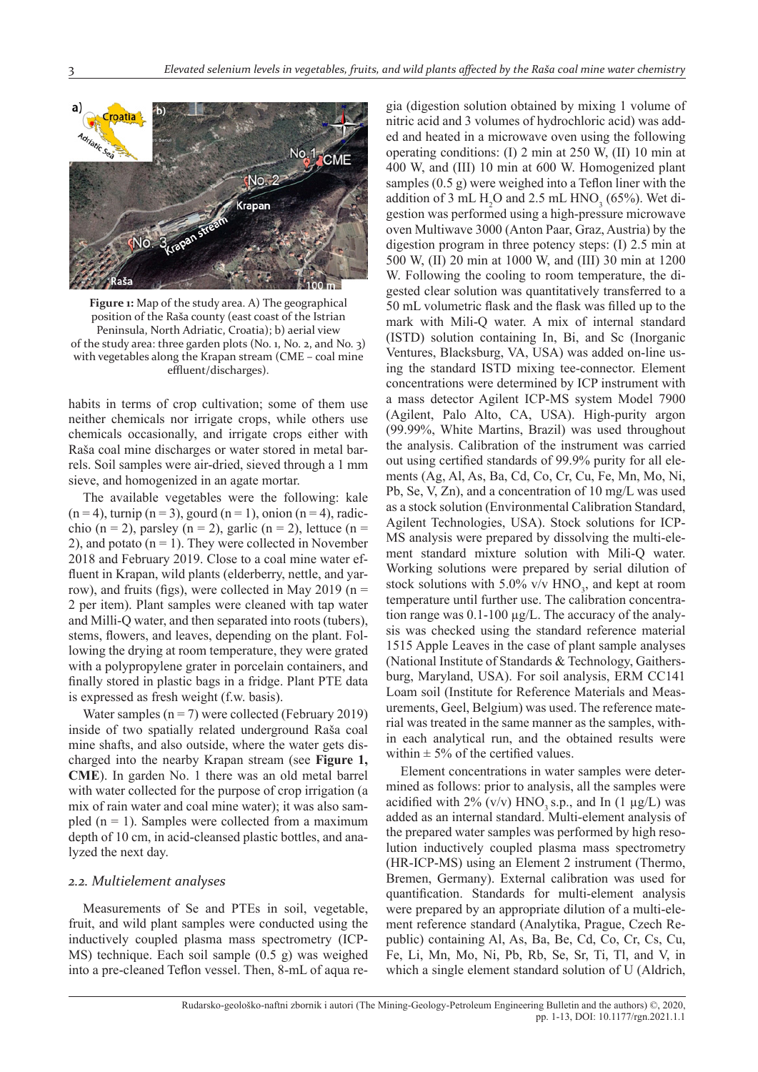

**Figure 1:** Map of the study area. A) The geographical position of the Raša county (east coast of the Istrian Peninsula, North Adriatic, Croatia); b) aerial view of the study area: three garden plots (No. 1, No. 2, and No. 3) with vegetables along the Krapan stream (CME – coal mine effluent/discharges).

habits in terms of crop cultivation; some of them use neither chemicals nor irrigate crops, while others use chemicals occasionally, and irrigate crops either with Raša coal mine discharges or water stored in metal barrels. Soil samples were air-dried, sieved through a 1 mm sieve, and homogenized in an agate mortar.

The available vegetables were the following: kale  $(n=4)$ , turnip  $(n=3)$ , gourd  $(n=1)$ , onion  $(n=4)$ , radicchio (n = 2), parsley (n = 2), garlic (n = 2), lettuce (n = 2), and potato  $(n = 1)$ . They were collected in November 2018 and February 2019. Close to a coal mine water effluent in Krapan, wild plants (elderberry, nettle, and yarrow), and fruits (figs), were collected in May 2019 ( $n =$ 2 per item). Plant samples were cleaned with tap water and Milli-Q water, and then separated into roots (tubers), stems, flowers, and leaves, depending on the plant. Following the drying at room temperature, they were grated with a polypropylene grater in porcelain containers, and finally stored in plastic bags in a fridge. Plant PTE data is expressed as fresh weight (f.w. basis).

Water samples  $(n = 7)$  were collected (February 2019) inside of two spatially related underground Raša coal mine shafts, and also outside, where the water gets discharged into the nearby Krapan stream (see **Figure 1, CME**). In garden No. 1 there was an old metal barrel with water collected for the purpose of crop irrigation (a mix of rain water and coal mine water); it was also sampled  $(n = 1)$ . Samples were collected from a maximum depth of 10 cm, in acid-cleansed plastic bottles, and analyzed the next day.

#### *2.2. Multielement analyses*

Measurements of Se and PTEs in soil, vegetable, fruit, and wild plant samples were conducted using the inductively coupled plasma mass spectrometry (ICP-MS) technique. Each soil sample (0.5 g) was weighed into a pre-cleaned Teflon vessel. Then, 8-mL of aqua re-

gia (digestion solution obtained by mixing 1 volume of nitric acid and 3 volumes of hydrochloric acid) was added and heated in a microwave oven using the following operating conditions: (I) 2 min at 250 W, (II) 10 min at 400 W, and (III) 10 min at 600 W. Homogenized plant samples  $(0.5 g)$  were weighed into a Teflon liner with the addition of 3 mL  $H_2O$  and 2.5 mL  $HNO_3$  (65%). Wet digestion was performed using a high-pressure microwave oven Multiwave 3000 (Anton Paar, Graz, Austria) by the digestion program in three potency steps: (I) 2.5 min at 500 W, (II) 20 min at 1000 W, and (III) 30 min at 1200 W. Following the cooling to room temperature, the digested clear solution was quantitatively transferred to a 50 mL volumetric flask and the flask was filled up to the mark with Mili-Q water. A mix of internal standard (ISTD) solution containing In, Bi, and Sc (Inorganic Ventures, Blacksburg, VA, USA) was added on-line using the standard ISTD mixing tee-connector. Element concentrations were determined by ICP instrument with a mass detector Agilent ICP-MS system Model 7900 (Agilent, Palo Alto, CA, USA). High-purity argon (99.99%, White Martins, Brazil) was used throughout the analysis. Calibration of the instrument was carried out using certified standards of 99.9% purity for all elements (Ag, Al, As, Ba, Cd, Co, Cr, Cu, Fe, Mn, Mo, Ni, Pb, Se, V, Zn), and a concentration of 10 mg/L was used as a stock solution (Environmental Calibration Standard, Agilent Technologies, USA). Stock solutions for ICP-MS analysis were prepared by dissolving the multi-element standard mixture solution with Mili-Q water. Working solutions were prepared by serial dilution of stock solutions with  $5.0\%$  v/v HNO<sub>3</sub>, and kept at room temperature until further use. The calibration concentration range was 0.1-100 μg/L. The accuracy of the analysis was checked using the standard reference material 1515 Apple Leaves in the case of plant sample analyses (National Institute of Standards & Technology, Gaithersburg, Maryland, USA). For soil analysis, ERM CC141 Loam soil (Institute for Reference Materials and Measurements, Geel, Belgium) was used. The reference material was treated in the same manner as the samples, within each analytical run, and the obtained results were within  $\pm$  5% of the certified values.

Element concentrations in water samples were determined as follows: prior to analysis, all the samples were acidified with  $2\%$  (v/v) HNO<sub>3</sub> s.p., and In (1 µg/L) was added as an internal standard. Multi-element analysis of the prepared water samples was performed by high resolution inductively coupled plasma mass spectrometry (HR-ICP-MS) using an Element 2 instrument (Thermo, Bremen, Germany). External calibration was used for quantification. Standards for multi-element analysis were prepared by an appropriate dilution of a multi-element reference standard (Analytika, Prague, Czech Republic) containing Al, As, Ba, Be, Cd, Co, Cr, Cs, Cu, Fe, Li, Mn, Mo, Ni, Pb, Rb, Se, Sr, Ti, Tl, and V, in which a single element standard solution of U (Aldrich,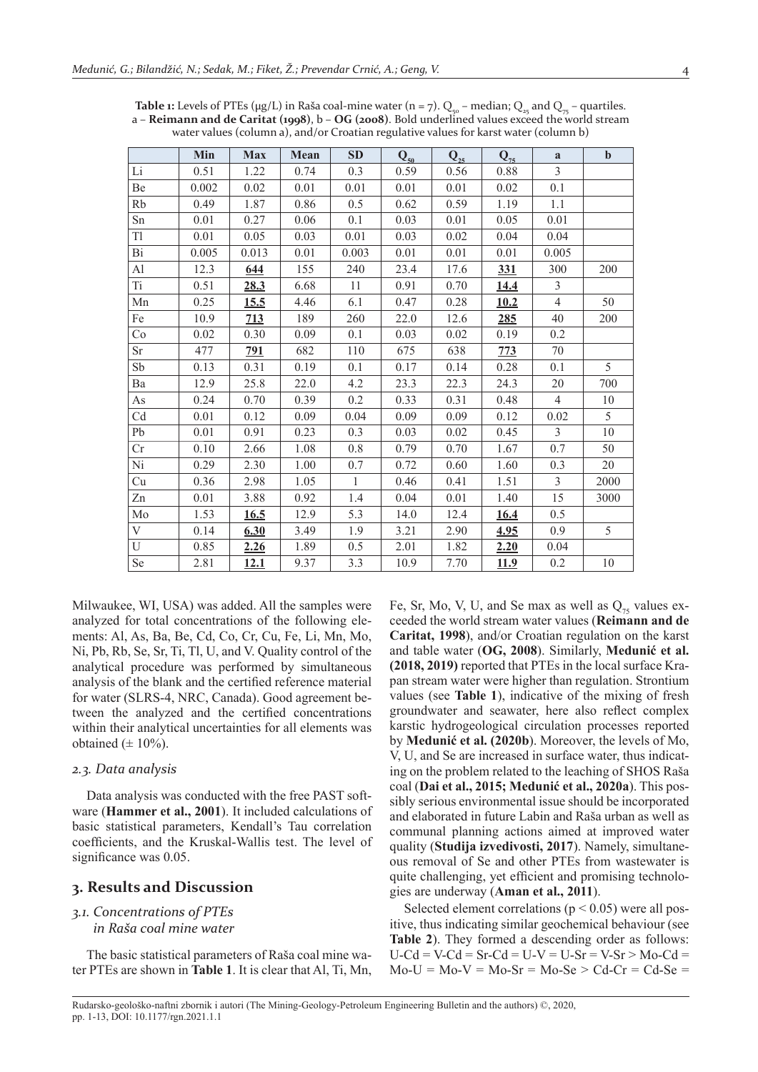|                | Min   | <b>Max</b> | Mean | <b>SD</b>    | $Q_{50}$ | $Q_{25}$ | $Q_{75}$    | a              | $\mathbf b$ |
|----------------|-------|------------|------|--------------|----------|----------|-------------|----------------|-------------|
| $\rm Li$       | 0.51  | 1.22       | 0.74 | 0.3          | 0.59     | 0.56     | 0.88        | $\overline{3}$ |             |
| Be             | 0.002 | 0.02       | 0.01 | 0.01         | 0.01     | 0.01     | 0.02        | 0.1            |             |
| Rb             | 0.49  | 1.87       | 0.86 | 0.5          | 0.62     | 0.59     | 1.19        | 1.1            |             |
| Sn             | 0.01  | 0.27       | 0.06 | 0.1          | 0.03     | 0.01     | 0.05        | 0.01           |             |
| T1             | 0.01  | 0.05       | 0.03 | 0.01         | 0.03     | 0.02     | 0.04        | 0.04           |             |
| Bi             | 0.005 | 0.013      | 0.01 | 0.003        | 0.01     | 0.01     | 0.01        | 0.005          |             |
| $\mathbf{A}$ l | 12.3  | <u>644</u> | 155  | 240          | 23.4     | 17.6     | <u>331</u>  | 300            | 200         |
| <b>Ti</b>      | 0.51  | 28.3       | 6.68 | 11           | 0.91     | 0.70     | <u>14.4</u> | $\overline{3}$ |             |
| Mn             | 0.25  | 15.5       | 4.46 | 6.1          | 0.47     | 0.28     | 10.2        | $\overline{4}$ | 50          |
| Fe             | 10.9  | 713        | 189  | 260          | 22.0     | 12.6     | <u>285</u>  | 40             | 200         |
| Co             | 0.02  | 0.30       | 0.09 | 0.1          | 0.03     | 0.02     | 0.19        | 0.2            |             |
| Sr             | 477   | 791        | 682  | 110          | 675      | 638      | 773         | 70             |             |
| Sb             | 0.13  | 0.31       | 0.19 | 0.1          | 0.17     | 0.14     | 0.28        | 0.1            | 5           |
| Ba             | 12.9  | 25.8       | 22.0 | 4.2          | 23.3     | 22.3     | 24.3        | 20             | 700         |
| As             | 0.24  | 0.70       | 0.39 | 0.2          | 0.33     | 0.31     | 0.48        | $\overline{4}$ | 10          |
| Cd             | 0.01  | 0.12       | 0.09 | 0.04         | 0.09     | 0.09     | 0.12        | 0.02           | 5           |
| Pb             | 0.01  | 0.91       | 0.23 | 0.3          | 0.03     | $0.02\,$ | 0.45        | $\overline{3}$ | $10\,$      |
| Cr             | 0.10  | 2.66       | 1.08 | 0.8          | 0.79     | 0.70     | 1.67        | 0.7            | 50          |
| Ni             | 0.29  | 2.30       | 1.00 | 0.7          | 0.72     | 0.60     | 1.60        | 0.3            | 20          |
| Cu             | 0.36  | 2.98       | 1.05 | $\mathbf{1}$ | 0.46     | 0.41     | 1.51        | $\overline{3}$ | 2000        |
| Zn             | 0.01  | 3.88       | 0.92 | 1.4          | 0.04     | 0.01     | 1.40        | 15             | 3000        |
| $\rm Mo$       | 1.53  | 16.5       | 12.9 | 5.3          | 14.0     | 12.4     | 16.4        | 0.5            |             |
| V              | 0.14  | 6.30       | 3.49 | 1.9          | 3.21     | 2.90     | 4.95        | 0.9            | 5           |
| $\mathbf U$    | 0.85  | 2.26       | 1.89 | 0.5          | 2.01     | 1.82     | 2.20        | 0.04           |             |
| Se             | 2.81  | 12.1       | 9.37 | 3.3          | 10.9     | 7.70     | <u>11.9</u> | 0.2            | 10          |

**Table 1:** Levels of PTEs ( $\mu$ g/L) in Raša coal-mine water (n = 7). Q<sub>50</sub> – median; Q<sub>25</sub> and Q<sub>75</sub> – quartiles. a – **Reimann and de Caritat (1998)**, b – **OG (2008)**. Bold underlined values exceed the world stream water values (column a), and/or Croatian regulative values for karst water (column b)

Milwaukee, WI, USA) was added. All the samples were analyzed for total concentrations of the following elements: Al, As, Ba, Be, Cd, Co, Cr, Cu, Fe, Li, Mn, Mo, Ni, Pb, Rb, Se, Sr, Ti, Tl, U, and V. Quality control of the analytical procedure was performed by simultaneous analysis of the blank and the certified reference material for water (SLRS-4, NRC, Canada). Good agreement between the analyzed and the certified concentrations within their analytical uncertainties for all elements was obtained  $(\pm 10\%)$ .

#### *2.3. Data analysis*

Data analysis was conducted with the free PAST software (**Hammer et al., 2001**). It included calculations of basic statistical parameters, Kendall's Tau correlation coefficients, and the Kruskal-Wallis test. The level of significance was 0.05.

## **3. Results and Discussion**

#### *3.1. Concentrations of PTEs*

*in Raša coal mine water*

The basic statistical parameters of Raša coal mine water PTEs are shown in **Table 1**. It is clear that Al, Ti, Mn, Fe, Sr, Mo, V, U, and Se max as well as  $Q_{75}$  values exceeded the world stream water values (**Reimann and de Caritat, 1998**), and/or Croatian regulation on the karst and table water (**OG, 2008**). Similarly, **Medunić et al. (2018, 2019)** reported that PTEs in the local surface Krapan stream water were higher than regulation. Strontium values (see **Table 1**), indicative of the mixing of fresh groundwater and seawater, here also reflect complex karstic hydrogeological circulation processes reported by **Medunić et al. (2020b**). Moreover, the levels of Mo, V, U, and Se are increased in surface water, thus indicating on the problem related to the leaching of SHOS Raša coal (**Dai et al., 2015; Medunić et al., 2020a**). This possibly serious environmental issue should be incorporated and elaborated in future Labin and Raša urban as well as communal planning actions aimed at improved water quality (**Studija izvedivosti, 2017**). Namely, simultaneous removal of Se and other PTEs from wastewater is quite challenging, yet efficient and promising technologies are underway (**Aman et al., 2011**).

Selected element correlations ( $p < 0.05$ ) were all positive, thus indicating similar geochemical behaviour (see **Table 2**). They formed a descending order as follows:  $U$ -Cd = V-Cd = Sr-Cd = U-V = U-Sr = V-Sr > Mo-Cd =  $Mo-U = Mo-V = Mo-Sr = Mo-Se > Cd-Cr = Cd-Se$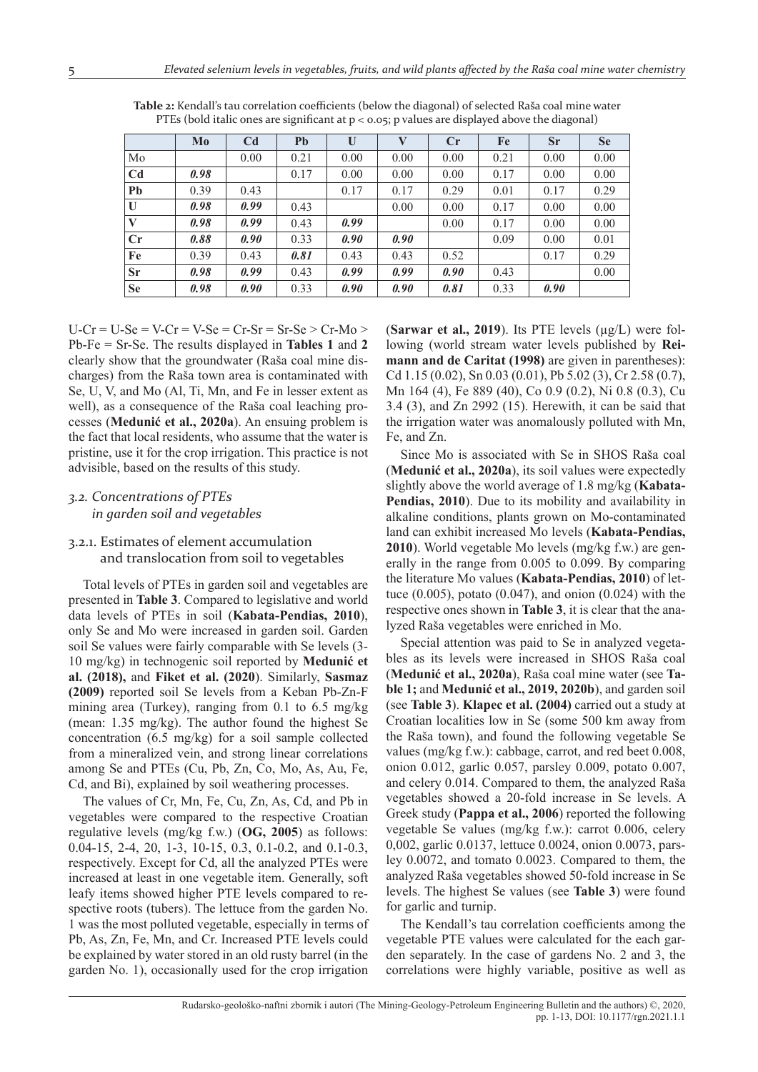|                | Mo   | C <sub>d</sub> | Pb   | U    | V    | $C_{r}$ | Fe   | <b>Sr</b> | <b>Se</b> |
|----------------|------|----------------|------|------|------|---------|------|-----------|-----------|
| Mo             |      | 0.00           | 0.21 | 0.00 | 0.00 | 0.00    | 0.21 | 0.00      | 0.00      |
| C <sub>d</sub> | 0.98 |                | 0.17 | 0.00 | 0.00 | 0.00    | 0.17 | 0.00      | 0.00      |
| Pb             | 0.39 | 0.43           |      | 0.17 | 0.17 | 0.29    | 0.01 | 0.17      | 0.29      |
| U              | 0.98 | 0.99           | 0.43 |      | 0.00 | 0.00    | 0.17 | 0.00      | 0.00      |
| V              | 0.98 | 0.99           | 0.43 | 0.99 |      | 0.00    | 0.17 | 0.00      | 0.00      |
| Cr             | 0.88 | 0.90           | 0.33 | 0.90 | 0.90 |         | 0.09 | 0.00      | 0.01      |
| Fe             | 0.39 | 0.43           | 0.81 | 0.43 | 0.43 | 0.52    |      | 0.17      | 0.29      |
| <b>Sr</b>      | 0.98 | 0.99           | 0.43 | 0.99 | 0.99 | 0.90    | 0.43 |           | 0.00      |
| <b>Se</b>      | 0.98 | 0.90           | 0.33 | 0.90 | 0.90 | 0.81    | 0.33 | 0.90      |           |

Table 2: Kendall's tau correlation coefficients (below the diagonal) of selected Raša coal mine water PTEs (bold italic ones are significant at  $p < 0.05$ ; p values are displayed above the diagonal)

 $U-Cr = U-Se = V-Cr = V-Se = Cr-Sr = Sr-Se > Cr-Mo >$ Pb-Fe = Sr-Se. The results displayed in **Tables 1** and **2** clearly show that the groundwater (Raša coal mine discharges) from the Raša town area is contaminated with Se, U, V, and Mo (Al, Ti, Mn, and Fe in lesser extent as well), as a consequence of the Raša coal leaching processes (**Medunić et al., 2020a**). An ensuing problem is the fact that local residents, who assume that the water is pristine, use it for the crop irrigation. This practice is not advisible, based on the results of this study.

## *3.2. Concentrations of PTEs in garden soil and vegetables*

## 3.2.1. Estimates of element accumulation and translocation from soil to vegetables

Total levels of PTEs in garden soil and vegetables are presented in **Table 3**. Compared to legislative and world data levels of PTEs in soil (**Kabata-Pendias, 2010**), only Se and Mo were increased in garden soil. Garden soil Se values were fairly comparable with Se levels (3- 10 mg/kg) in technogenic soil reported by **Medunić et al. (2018),** and **Fiket et al. (2020**). Similarly, **Sasmaz (2009)** reported soil Se levels from a Keban Pb-Zn-F mining area (Turkey), ranging from 0.1 to 6.5 mg/kg (mean: 1.35 mg/kg). The author found the highest Se concentration (6.5 mg/kg) for a soil sample collected from a mineralized vein, and strong linear correlations among Se and PTEs (Cu, Pb, Zn, Co, Mo, As, Au, Fe, Cd, and Bi), explained by soil weathering processes.

The values of Cr, Mn, Fe, Cu, Zn, As, Cd, and Pb in vegetables were compared to the respective Croatian regulative levels (mg/kg f.w.) (**OG, 2005**) as follows: 0.04-15, 2-4, 20, 1-3, 10-15, 0.3, 0.1-0.2, and 0.1-0.3, respectively. Except for Cd, all the analyzed PTEs were increased at least in one vegetable item. Generally, soft leafy items showed higher PTE levels compared to respective roots (tubers). The lettuce from the garden No. 1 was the most polluted vegetable, especially in terms of Pb, As, Zn, Fe, Mn, and Cr. Increased PTE levels could be explained by water stored in an old rusty barrel (in the garden No. 1), occasionally used for the crop irrigation

(**Sarwar et al., 2019**). Its PTE levels (μg/L) were following (world stream water levels published by **Reimann and de Caritat (1998)** are given in parentheses): Cd 1.15 (0.02), Sn 0.03 (0.01), Pb 5.02 (3), Cr 2.58 (0.7), Mn 164 (4), Fe 889 (40), Co 0.9 (0.2), Ni 0.8 (0.3), Cu 3.4 (3), and Zn 2992 (15). Herewith, it can be said that the irrigation water was anomalously polluted with Mn, Fe, and Zn.

Since Mo is associated with Se in SHOS Raša coal (**Medunić et al., 2020a**), its soil values were expectedly slightly above the world average of 1.8 mg/kg (**Kabata-Pendias, 2010**). Due to its mobility and availability in alkaline conditions, plants grown on Mo-contaminated land can exhibit increased Mo levels (**Kabata-Pendias, 2010**). World vegetable Mo levels (mg/kg f.w.) are generally in the range from 0.005 to 0.099. By comparing the literature Mo values (**Kabata-Pendias, 2010**) of lettuce  $(0.005)$ , potato  $(0.047)$ , and onion  $(0.024)$  with the respective ones shown in **Table 3**, it is clear that the analyzed Raša vegetables were enriched in Mo.

Special attention was paid to Se in analyzed vegetables as its levels were increased in SHOS Raša coal (**Medunić et al., 2020a**), Raša coal mine water (see **Table 1;** and **Medunić et al., 2019, 2020b**), and garden soil (see **Table 3**). **Klapec et al. (2004)** carried out a study at Croatian localities low in Se (some 500 km away from the Raša town), and found the following vegetable Se values (mg/kg f.w.): cabbage, carrot, and red beet 0.008, onion 0.012, garlic 0.057, parsley 0.009, potato 0.007, and celery 0.014. Compared to them, the analyzed Raša vegetables showed a 20-fold increase in Se levels. A Greek study (**Pappa et al., 2006**) reported the following vegetable Se values (mg/kg f.w.): carrot 0.006, celery 0,002, garlic 0.0137, lettuce 0.0024, onion 0.0073, parsley 0.0072, and tomato 0.0023. Compared to them, the analyzed Raša vegetables showed 50-fold increase in Se levels. The highest Se values (see **Table 3**) were found for garlic and turnip.

The Kendall's tau correlation coefficients among the vegetable PTE values were calculated for the each garden separately. In the case of gardens No. 2 and 3, the correlations were highly variable, positive as well as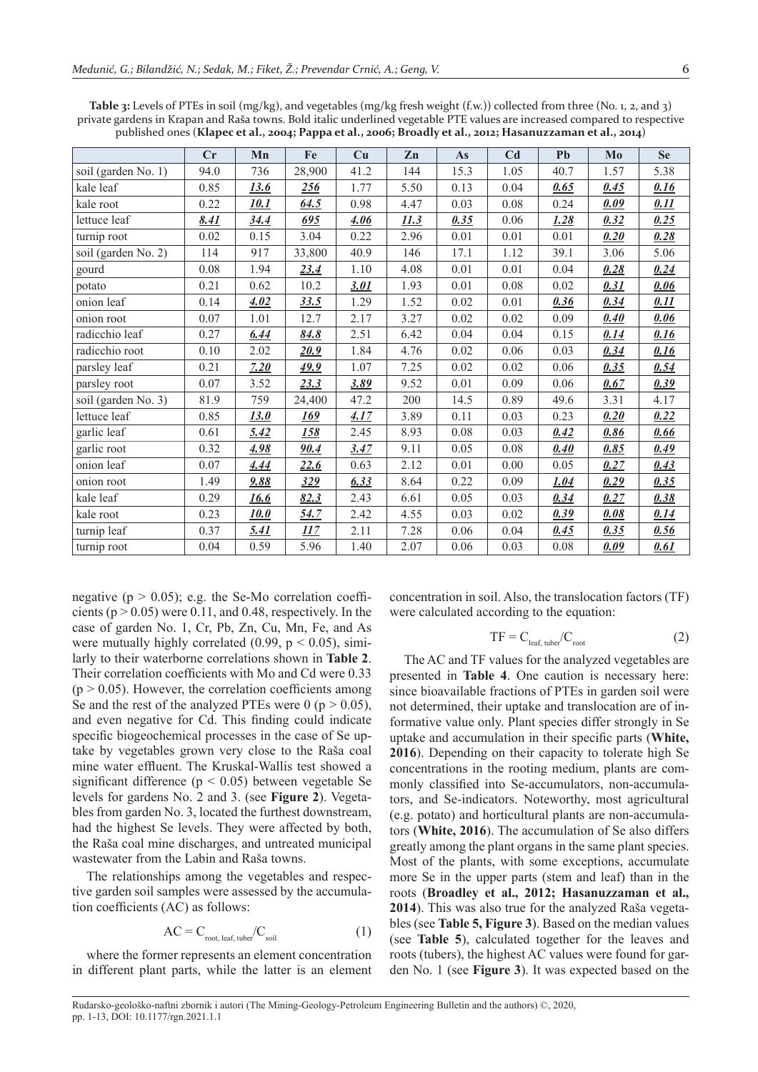|                     | рттай загисты ні ктаран ани каза сомны. Докі нане анистніки тезейшкі і ты танасыне інстеазси соніратси іо тезрессите<br>published ones (Klapec et al., 2004; Pappa et al., 2006; Broadly et al., 2012; Hasanuzzaman et al., 2014) |              |             |             |             |      |                |      |      |      |  |  |  |  |
|---------------------|-----------------------------------------------------------------------------------------------------------------------------------------------------------------------------------------------------------------------------------|--------------|-------------|-------------|-------------|------|----------------|------|------|------|--|--|--|--|
|                     | Cr                                                                                                                                                                                                                                | Mn           | Fe          | Cu          | Zn          | As   | C <sub>d</sub> | Pb   | Mo   | Se   |  |  |  |  |
| soil (garden No. 1) | 94.0                                                                                                                                                                                                                              | 736          | 28,900      | 41.2        | 144         | 15.3 | 1.05           | 40.7 | 1.57 | 5.38 |  |  |  |  |
| kale leaf           | 0.85                                                                                                                                                                                                                              | <u>13.6</u>  | <u>256</u>  | 1.77        | 5.50        | 0.13 | 0.04           | 0.65 | 0.45 | 0.16 |  |  |  |  |
| kale root           | 0.22                                                                                                                                                                                                                              | <u> 10.1</u> | 64.5        | 0.98        | 4.47        | 0.03 | 0.08           | 0.24 | 0.09 | 0.11 |  |  |  |  |
| lettuce leaf        | <u>8.41</u>                                                                                                                                                                                                                       | <u>34.4</u>  | <u>695</u>  | <u>4.06</u> | <u>11.3</u> | 0.35 | 0.06           | 1.28 | 0.32 | 0.25 |  |  |  |  |
| turnip root         | 0.02                                                                                                                                                                                                                              | 0.15         | 3.04        | 0.22        | 2.96        | 0.01 | 0.01           | 0.01 | 0.20 | 0.28 |  |  |  |  |
| soil (garden No. 2) | 114                                                                                                                                                                                                                               | 917          | 33,800      | 40.9        | 146         | 17.1 | 1.12           | 39.1 | 3.06 | 5.06 |  |  |  |  |
| gourd               | 0.08                                                                                                                                                                                                                              | 1.94         | 23.4        | 1.10        | 4.08        | 0.01 | 0.01           | 0.04 | 0.28 | 0.24 |  |  |  |  |
| potato              | 0.21                                                                                                                                                                                                                              | 0.62         | 10.2        | 3.01        | 1.93        | 0.01 | 0.08           | 0.02 | 0.31 | 0.06 |  |  |  |  |
| onion leaf          | 0.14                                                                                                                                                                                                                              | 4.02         | 33.5        | 1.29        | 1.52        | 0.02 | 0.01           | 0.36 | 0.34 | 0.11 |  |  |  |  |
| onion root          | 0.07                                                                                                                                                                                                                              | 1.01         | 12.7        | 2.17        | 3.27        | 0.02 | 0.02           | 0.09 | 0.40 | 0.06 |  |  |  |  |
| radicchio leaf      | 0.27                                                                                                                                                                                                                              | 6.44         | <u>84.8</u> | 2.51        | 6.42        | 0.04 | 0.04           | 0.15 | 0.14 | 0.16 |  |  |  |  |
| radicchio root      | 0.10                                                                                                                                                                                                                              | 2.02         | 20.9        | 1.84        | 4.76        | 0.02 | 0.06           | 0.03 | 0.34 | 0.16 |  |  |  |  |
| parsley leaf        | 0.21                                                                                                                                                                                                                              | 7.20         | <u>49.9</u> | 1.07        | 7.25        | 0.02 | 0.02           | 0.06 | 0.35 | 0.54 |  |  |  |  |
| parsley root        | 0.07                                                                                                                                                                                                                              | 3.52         | 23.3        | <u>3.89</u> | 9.52        | 0.01 | 0.09           | 0.06 | 0.67 | 0.39 |  |  |  |  |
| soil (garden No. 3) | 81.9                                                                                                                                                                                                                              | 759          | 24,400      | 47.2        | 200         | 14.5 | 0.89           | 49.6 | 3.31 | 4.17 |  |  |  |  |
| lettuce leaf        | 0.85                                                                                                                                                                                                                              | 13.0         | <u> 169</u> | 4.17        | 3.89        | 0.11 | 0.03           | 0.23 | 0.20 | 0.22 |  |  |  |  |
| garlic leaf         | 0.61                                                                                                                                                                                                                              | 5.42         | <u> 158</u> | 2.45        | 8.93        | 0.08 | 0.03           | 0.42 | 0.86 | 0.66 |  |  |  |  |
| garlic root         | 0.32                                                                                                                                                                                                                              | <u>4.98</u>  | <u>90.4</u> | 3.47        | 9.11        | 0.05 | 0.08           | 0.40 | 0.85 | 0.49 |  |  |  |  |

onion leaf 0.07 *4.44 22.6* 0.63 2.12 0.01 0.00 0.05 *0.27 0.43* onion root 1.49 *9.88 329 6.33* 8.64 0.22 0.09 *1.04 0.29 0.35* kale leaf 0.29 *16.6 82.3* 2.43 6.61 0.05 0.03 *0.34 0.27 0.38* kale root 0.23 *10.0 54.7* 2.42 4.55 0.03 0.02 *0.39 0.08 0.14* turnip leaf 0.37 *5.41 117* 2.11 7.28 0.06 0.04 *0.45 0.35 0.56* turnip root 0.04 0.59 5.96 1.40 2.07 0.06 0.03 0.08 *0.09 0.61*

**Table 3:** Levels of PTEs in soil (mg/kg), and vegetables (mg/kg fresh weight (f.w.)) collected from three (No. 1, 2, and 3) private gardens in Krapan and Raša towns. Bold italic underlined vegetable PTE values are increased compared to respective

negative ( $p > 0.05$ ); e.g. the Se-Mo correlation coefficients ( $p > 0.05$ ) were 0.11, and 0.48, respectively. In the case of garden No. 1, Cr, Pb, Zn, Cu, Mn, Fe, and As were mutually highly correlated (0.99,  $p < 0.05$ ), similarly to their waterborne correlations shown in **Table 2**. Their correlation coefficients with Mo and Cd were 0.33  $(p > 0.05)$ . However, the correlation coefficients among Se and the rest of the analyzed PTEs were 0 ( $p > 0.05$ ), and even negative for Cd. This finding could indicate specific biogeochemical processes in the case of Se uptake by vegetables grown very close to the Raša coal mine water effluent. The Kruskal-Wallis test showed a significant difference ( $p < 0.05$ ) between vegetable Se levels for gardens No. 2 and 3. (see **Figure 2**). Vegetables from garden No. 3, located the furthest downstream, had the highest Se levels. They were affected by both, the Raša coal mine discharges, and untreated municipal wastewater from the Labin and Raša towns.

The relationships among the vegetables and respective garden soil samples were assessed by the accumulation coefficients  $(AC)$  as follows:

$$
AC = C_{\text{root, leaf, tuber}} / C_{\text{soil}} \tag{1}
$$

where the former represents an element concentration in different plant parts, while the latter is an element concentration in soil. Also, the translocation factors (TF) were calculated according to the equation:

$$
TF = C_{\text{leaf, tuber}} / C_{\text{root}} \tag{2}
$$

The AC and TF values for the analyzed vegetables are presented in **Table 4**. One caution is necessary here: since bioavailable fractions of PTEs in garden soil were not determined, their uptake and translocation are of informative value only. Plant species differ strongly in Se uptake and accumulation in their specific parts (White, **2016**). Depending on their capacity to tolerate high Se concentrations in the rooting medium, plants are commonly classified into Se-accumulators, non-accumulators, and Se-indicators. Noteworthy, most agricultural (e.g. potato) and horticultural plants are non-accumulators (**White, 2016**). The accumulation of Se also differs greatly among the plant organs in the same plant species. Most of the plants, with some exceptions, accumulate more Se in the upper parts (stem and leaf) than in the roots (**Broadley et al., 2012; Hasanuzzaman et al., 2014**). This was also true for the analyzed Raša vegetables (see **Table 5, Figure 3**). Based on the median values (see **Table 5**), calculated together for the leaves and roots (tubers), the highest AC values were found for garden No. 1 (see **Figure 3**). It was expected based on the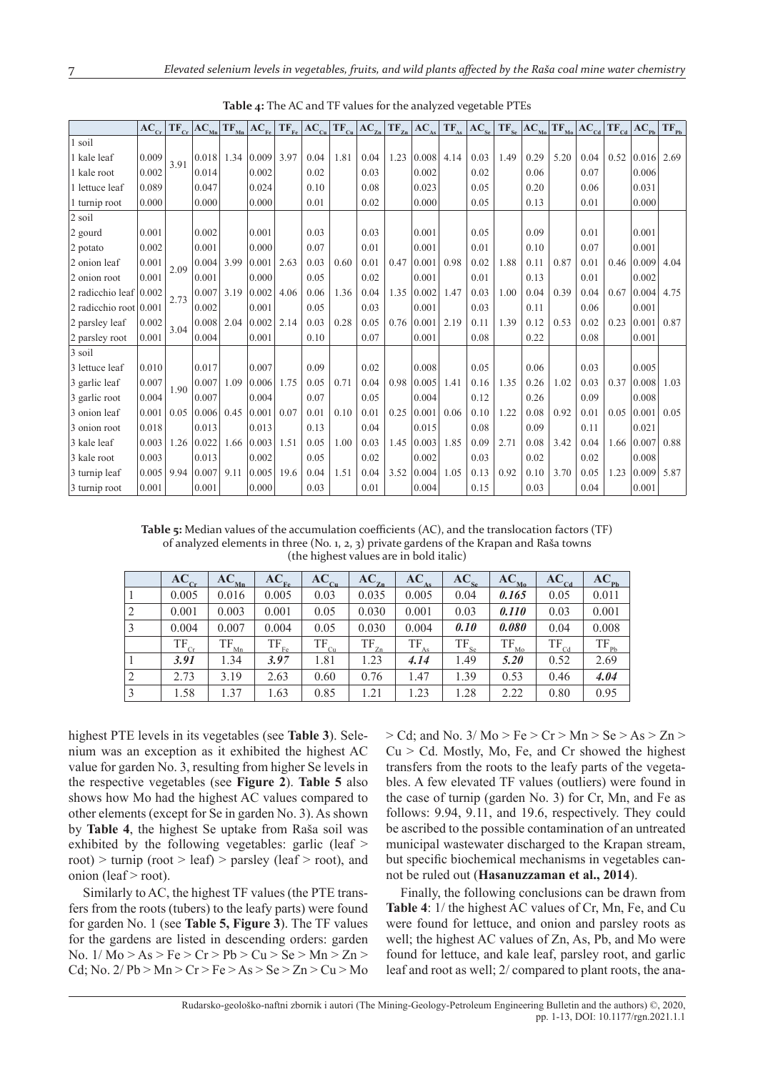|                            | $AC_{cr}$ |      | $TF_{cr}$ $\left AC_{_{\text{Mn}}}\right $ | $TF_{Mn}$ | $AC_{F_{P}}$ |      | $TF_{\rm Fe}$ $\rm{AC_{\rm Cu}}$ |      | $TF_{c_n}$ $\left AC_{z_n}\right $ | $TF_{Zn}$ | $AC_{12}$ | $TF_{As}$ | AC <sub>se</sub> |      | $TF_{\rm se}$ $\rm AC_{\rm Mo}$ | $TF_{M0}$ | $ AC_{cd} TF_{cd}$ |      | $AC_{pb}$ | $TF_{Pb}$ |
|----------------------------|-----------|------|--------------------------------------------|-----------|--------------|------|----------------------------------|------|------------------------------------|-----------|-----------|-----------|------------------|------|---------------------------------|-----------|--------------------|------|-----------|-----------|
| 1 soil                     |           |      |                                            |           |              |      |                                  |      |                                    |           |           |           |                  |      |                                 |           |                    |      |           |           |
| 1 kale leaf                | 0.009     | 3.91 | $0.018$ 1.34                               |           | 0.009        | 3.97 | 0.04                             | 1.81 | 0.04                               | 1.23      | 0.008     | 4.14      | 0.03             | 1.49 | 0.29                            | 5.20      | 0.04               | 0.52 | 0.016     | 2.69      |
| 1 kale root                | 0.002     |      | 0.014                                      |           | 0.002        |      | 0.02                             |      | 0.03                               |           | 0.002     |           | 0.02             |      | 0.06                            |           | 0.07               |      | 0.006     |           |
| 1 lettuce leaf             | 0.089     |      | 0.047                                      |           | 0.024        |      | 0.10                             |      | 0.08                               |           | 0.023     |           | 0.05             |      | 0.20                            |           | 0.06               |      | 0.031     |           |
| 1 turnip root              | 0.000     |      | 0.000                                      |           | 0.000        |      | 0.01                             |      | 0.02                               |           | 0.000     |           | 0.05             |      | 0.13                            |           | 0.01               |      | 0.000     |           |
| 2 soil                     |           |      |                                            |           |              |      |                                  |      |                                    |           |           |           |                  |      |                                 |           |                    |      |           |           |
| 2 gourd                    | 0.001     |      | 0.002                                      |           | 0.001        |      | 0.03                             |      | 0.03                               |           | 0.001     |           | 0.05             |      | 0.09                            |           | 0.01               |      | 0.001     |           |
| 2 potato                   | 0.002     |      | 0.001                                      |           | 0.000        |      | 0.07                             |      | 0.01                               |           | 0.001     |           | 0.01             |      | 0.10                            |           | 0.07               |      | 0.001     |           |
| 2 onion leaf               | 0.001     | 2.09 | 0.004                                      | 3.99      | 0.001        | 2.63 | 0.03                             | 0.60 | 0.01                               | 0.47      | 0.001     | 0.98      | 0.02             | 1.88 | 0.11                            | 0.87      | 0.01               | 0.46 | 0.009     | 4.04      |
| 2 onion root               | 0.001     |      | 0.001                                      |           | 0.000        |      | 0.05                             |      | 0.02                               |           | 0.001     |           | 0.01             |      | 0.13                            |           | 0.01               |      | 0.002     |           |
| 2 radicchio leaf $(0.002)$ |           | 2.73 | 0.007                                      | 3.19      | 0.002        | 4.06 | 0.06                             | 1.36 | 0.04                               | 1.35      | 0.002     | 1.47      | 0.03             | 1.00 | 0.04                            | 0.39      | 0.04               | 0.67 | 0.004     | 4.75      |
| 2 radicchio root $ 0.001$  |           |      | 0.002                                      |           | 0.001        |      | 0.05                             |      | 0.03                               |           | 0.001     |           | 0.03             |      | 0.11                            |           | 0.06               |      | 0.001     |           |
| 2 parsley leaf             | 0.002     | 3.04 | 0.008                                      | 2.04      | 0.002        | 2.14 | 0.03                             | 0.28 | 0.05                               | 0.76      | 0.001     | 2.19      | 0.11             | 1.39 | 0.12                            | 0.53      | 0.02               | 0.23 | 0.001     | 0.87      |
| 2 parsley root             | 0.001     |      | 0.004                                      |           | 0.001        |      | 0.10                             |      | 0.07                               |           | 0.001     |           | 0.08             |      | 0.22                            |           | 0.08               |      | 0.001     |           |
| 3 soil                     |           |      |                                            |           |              |      |                                  |      |                                    |           |           |           |                  |      |                                 |           |                    |      |           |           |
| 3 lettuce leaf             | 0.010     |      | 0.017                                      |           | 0.007        |      | 0.09                             |      | 0.02                               |           | 0.008     |           | 0.05             |      | 0.06                            |           | 0.03               |      | 0.005     |           |
| 3 garlic leaf              | 0.007     | 1.90 | 0.007                                      | 1.09      | 0.006        | 1.75 | 0.05                             | 0.71 | 0.04                               | 0.98      | 0.005     | 1.41      | 0.16             | 1.35 | 0.26                            | 1.02      | 0.03               | 0.37 | 0.008     | 1.03      |
| 3 garlic root              | 0.004     |      | 0.007                                      |           | 0.004        |      | 0.07                             |      | 0.05                               |           | 0.004     |           | 0.12             |      | 0.26                            |           | 0.09               |      | 0.008     |           |
| 3 onion leaf               | 0.001     | 0.05 | 0.006                                      | 0.45      | 0.001        | 0.07 | 0.01                             | 0.10 | 0.01                               | 0.25      | 0.001     | 0.06      | 0.10             | 1.22 | 0.08                            | 0.92      | 0.01               | 0.05 | 0.001     | 0.05      |
| 3 onion root               | 0.018     |      | 0.013                                      |           | 0.013        |      | 0.13                             |      | 0.04                               |           | 0.015     |           | 0.08             |      | 0.09                            |           | 0.11               |      | 0.021     |           |
| 3 kale leaf                | 0.003     | 1.26 | 0.022                                      | 1.66      | 0.003        | 1.51 | 0.05                             | 1.00 | 0.03                               | 1.45      | 0.003     | 1.85      | 0.09             | 2.71 | 0.08                            | 3.42      | 0.04               | 1.66 | 0.007     | 0.88      |
| 3 kale root                | 0.003     |      | 0.013                                      |           | 0.002        |      | 0.05                             |      | 0.02                               |           | 0.002     |           | 0.03             |      | 0.02                            |           | 0.02               |      | 0.008     |           |
| 3 turnip leaf              | 0.005     | 9.94 | 0.007                                      | 9.11      | 0.005        | 19.6 | 0.04                             | 1.51 | 0.04                               | 3.52      | 0.004     | 1.05      | 0.13             | 0.92 | 0.10                            | 3.70      | 0.05               | 1.23 | 0.009     | 5.87      |
| 3 turnip root              | 0.001     |      | 0.001                                      |           | 0.000        |      | 0.03                             |      | 0.01                               |           | 0.004     |           | 0.15             |      | 0.03                            |           | 0.04               |      | 0.001     |           |

**Table 4:** The AC and TF values for the analyzed vegetable PTEs

Table 5: Median values of the accumulation coefficients (AC), and the translocation factors (TF) of analyzed elements in three (No. 1, 2, 3) private gardens of the Krapan and Raša towns (the highest values are in bold italic)

|   | $AC_{cr}$        | $AC_{Mn}$             | $AC_{Fe}$     | $AC_{Cu}$ | $AC_{Zn}$ | AC <sub>As</sub> | $AC_{Se}$ | $AC_{M0}$             | $AC_{Cd}$       | $AC_{pb}$ |
|---|------------------|-----------------------|---------------|-----------|-----------|------------------|-----------|-----------------------|-----------------|-----------|
|   | 0.005            | 0.016                 | 0.005         | 0.03      | 0.035     | 0.005            | 0.04      | 0.165                 | 0.05            | 0.011     |
| 2 | 0.001            | 0.003                 | 0.001         | 0.05      | 0.030     | 0.001            | 0.03      | 0.110                 | 0.03            | 0.001     |
| 3 | 0.004            | 0.007                 | 0.004         | 0.05      | 0.030     | 0.004            | 0.10      | 0.080                 | 0.04            | 0.008     |
|   | $TF_{\text{Cr}}$ | $T\underline{F_{Mn}}$ | $TF_{\rm Fe}$ | $TF_{Cu}$ | $TF_{Zn}$ | $TF_{As}$        | $TF_{se}$ | $T_{\frac{M_{0}}{2}}$ | $T_{\text{Cd}}$ | $TF_{Pb}$ |
|   | 3.91             | 1.34                  | 3.97          | 1.81      | 1.23      | 4.14             | 1.49      | 5.20                  | 0.52            | 2.69      |
| 2 | 2.73             | 3.19                  | 2.63          | 0.60      | 0.76      | 1.47             | 1.39      | 0.53                  | 0.46            | 4.04      |
| 3 | 1.58             | 1.37                  | 1.63          | 0.85      | 1.21      | 1.23             | 1.28      | 2.22                  | 0.80            | 0.95      |

highest PTE levels in its vegetables (see **Table 3**). Selenium was an exception as it exhibited the highest AC value for garden No. 3, resulting from higher Se levels in the respective vegetables (see **Figure 2**). **Table 5** also shows how Mo had the highest AC values compared to other elements (except for Se in garden No. 3). As shown by **Table 4**, the highest Se uptake from Raša soil was exhibited by the following vegetables: garlic (leaf > root) > turnip (root > leaf) > parsley (leaf > root), and onion (leaf > root).

Similarly to AC, the highest TF values (the PTE transfers from the roots (tubers) to the leafy parts) were found for garden No. 1 (see **Table 5, Figure 3**). The TF values for the gardens are listed in descending orders: garden No.  $1/Mo > As > Fe > Cr > Pb > Cu > Se > Mn > Zn >$ Cd; No.  $2/Pb > Mn > Cr > Fe > As > Se > Zn > Cu > Mo$   $>$  Cd; and No. 3/ Mo  $>$  Fe  $>$  Cr  $>$  Mn  $>$  Se  $>$  As  $>$  Zn  $>$  $Cu > Cd$ . Mostly, Mo, Fe, and Cr showed the highest transfers from the roots to the leafy parts of the vegetables. A few elevated TF values (outliers) were found in the case of turnip (garden No. 3) for Cr, Mn, and Fe as follows: 9.94, 9.11, and 19.6, respectively. They could be ascribed to the possible contamination of an untreated municipal wastewater discharged to the Krapan stream, but specific biochemical mechanisms in vegetables cannot be ruled out (**Hasanuzzaman et al., 2014**).

Finally, the following conclusions can be drawn from **Table 4**: 1/ the highest AC values of Cr, Mn, Fe, and Cu were found for lettuce, and onion and parsley roots as well; the highest AC values of Zn, As, Pb, and Mo were found for lettuce, and kale leaf, parsley root, and garlic leaf and root as well; 2/ compared to plant roots, the ana-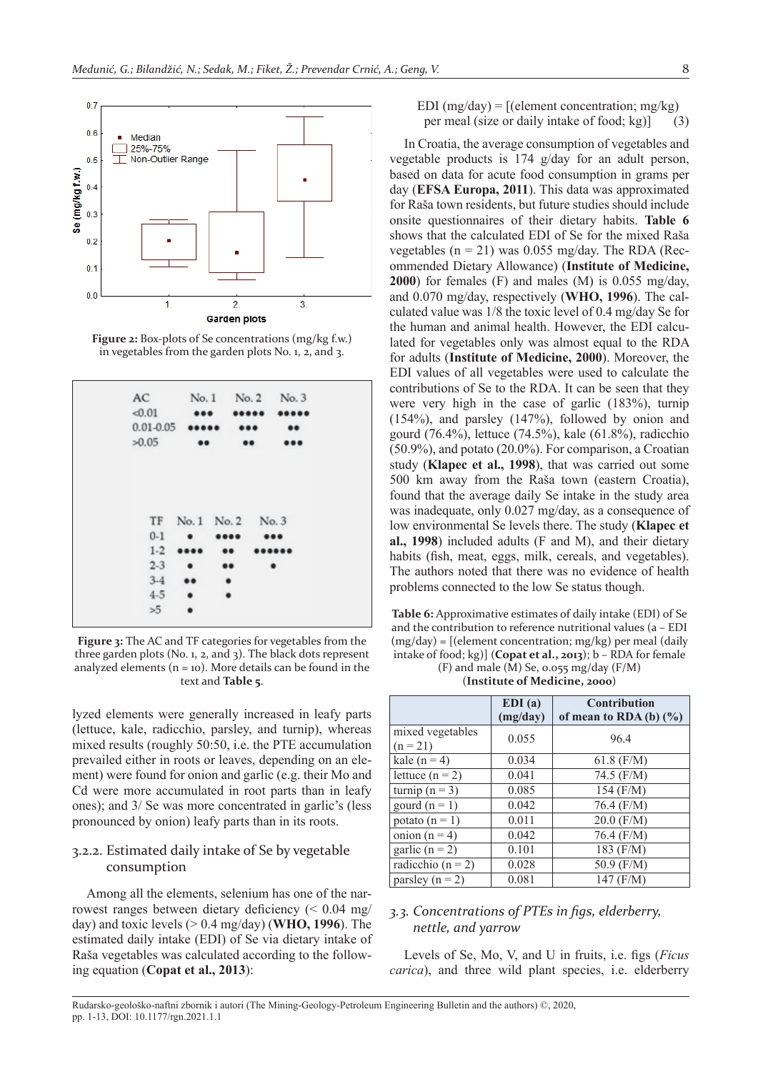

**Figure 2:** Box-plots of Se concentrations (mg/kg f.w.) in vegetables from the garden plots No. 1, 2, and 3.

| AC                       |                         | No.1            |      | No. 2 No. 3      |
|--------------------------|-------------------------|-----------------|------|------------------|
| < 0.01                   | $\bullet\bullet\bullet$ |                 |      |                  |
| $0.01 - 0.05$ eeeee      |                         |                 |      | $\bullet\bullet$ |
| >0.05                    | $\bullet\bullet$        |                 |      |                  |
| TF<br>$0 - 1$<br>$1 - 2$ | $\bullet$<br>           | No. 1 No. 2<br> | No.3 |                  |
| $2 - 3$                  | $\bullet$               |                 |      | ٠                |
| $3-4$                    |                         | ٠               |      |                  |
|                          | $\bullet$               | ٠               |      |                  |
| $4 - 5$                  |                         |                 |      |                  |

**Figure 3:** The AC and TF categories for vegetables from the three garden plots (No. 1, 2, and 3). The black dots represent analyzed elements  $(n = 10)$ . More details can be found in the text and **Table 5**.

lyzed elements were generally increased in leafy parts (lettuce, kale, radicchio, parsley, and turnip), whereas mixed results (roughly 50:50, i.e. the PTE accumulation prevailed either in roots or leaves, depending on an element) were found for onion and garlic (e.g. their Mo and Cd were more accumulated in root parts than in leafy ones); and 3/ Se was more concentrated in garlic's (less pronounced by onion) leafy parts than in its roots.

## 3.2.2. Estimated daily intake of Se by vegetable consumption

Among all the elements, selenium has one of the narrowest ranges between dietary deficiency  $\approx 0.04$  mg/ day) and toxic levels (> 0.4 mg/day) (**WHO, 1996**). The estimated daily intake (EDI) of Se via dietary intake of Raša vegetables was calculated according to the following equation (**Copat et al., 2013**):

EDI (mg/day) =  $[(\text{element concentration}; \text{mg/kg})]$ per meal (size or daily intake of food; kg)] (3)

In Croatia, the average consumption of vegetables and vegetable products is 174 g/day for an adult person, based on data for acute food consumption in grams per day (**EFSA Europa, 2011**). This data was approximated for Raša town residents, but future studies should include onsite questionnaires of their dietary habits. **Table 6** shows that the calculated EDI of Se for the mixed Raša vegetables ( $n = 21$ ) was 0.055 mg/day. The RDA (Recommended Dietary Allowance) (**Institute of Medicine, 2000**) for females (F) and males (M) is 0.055 mg/day, and 0.070 mg/day, respectively (**WHO, 1996**). The calculated value was 1/8 the toxic level of 0.4 mg/day Se for the human and animal health. However, the EDI calculated for vegetables only was almost equal to the RDA for adults (**Institute of Medicine, 2000**). Moreover, the EDI values of all vegetables were used to calculate the contributions of Se to the RDA. It can be seen that they were very high in the case of garlic (183%), turnip (154%), and parsley (147%), followed by onion and gourd (76.4%), lettuce (74.5%), kale (61.8%), radicchio (50.9%), and potato (20.0%). For comparison, a Croatian study (**Klapec et al., 1998**), that was carried out some 500 km away from the Raša town (eastern Croatia), found that the average daily Se intake in the study area was inadequate, only 0.027 mg/day, as a consequence of low environmental Se levels there. The study (**Klapec et al., 1998**) included adults (F and M), and their dietary habits (fish, meat, eggs, milk, cereals, and vegetables). The authors noted that there was no evidence of health problems connected to the low Se status though.

**Table 6:** Approximative estimates of daily intake (EDI) of Se and the contribution to reference nutritional values (a – EDI (mg/day) = [(element concentration; mg/kg) per meal (daily intake of food; kg)] (**Copat et al., 2013**); b – RDA for female  $(F)$  and male  $(M)$  Se, 0.055 mg/day  $(F/M)$ 

(**Institute of Medicine, 2000**)

|                                | EDI(a)<br>(mg/day) | <b>Contribution</b><br>of mean to RDA (b) $(\% )$ |
|--------------------------------|--------------------|---------------------------------------------------|
| mixed vegetables<br>$(n = 21)$ | 0.055              | 96.4                                              |
| kale $(n = 4)$                 | 0.034              | $61.8$ (F/M)                                      |
| lettuce $(n = 2)$              | 0.041              | 74.5 $(F/M)$                                      |
| turnip $(n = 3)$               | 0.085              | 154 (F/M)                                         |
| gourd $(n = 1)$                | 0.042              | 76.4 (F/M)                                        |
| potato $(n = 1)$               | 0.011              | $20.0$ (F/M)                                      |
| onion $(n = 4)$                | 0.042              | 76.4 (F/M)                                        |
| garlic $(n = 2)$               | 0.101              | 183 (F/M)                                         |
| radicchio ( $n = 2$ )          | 0.028              | 50.9 (F/M)                                        |
| parsley $(n = 2)$              | 0.081              | 147 (F/M)                                         |

## *3.3. Concentrations of PTEs in fi gs, elderberry, nettle, and yarrow*

Levels of Se, Mo, V, and U in fruits, i.e. figs (*Ficus carica*), and three wild plant species, i.e. elderberry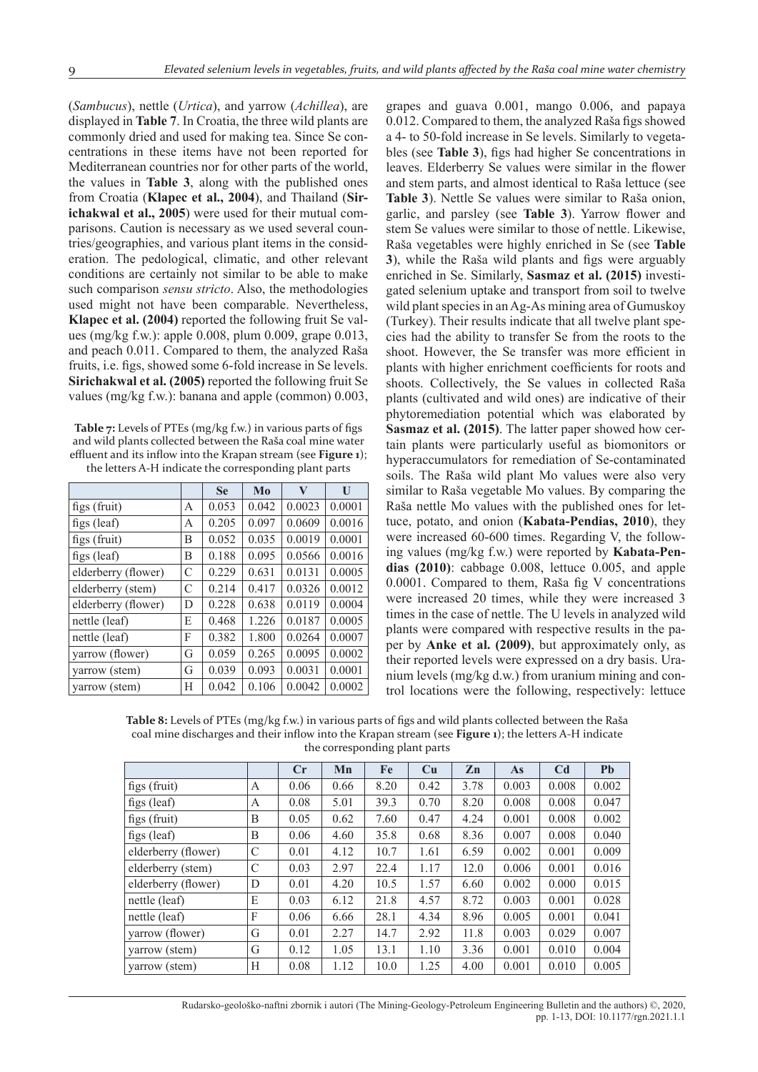(*Sambucus*), nettle (*Urtica*), and yarrow (*Achillea*), are displayed in **Table 7**. In Croatia, the three wild plants are commonly dried and used for making tea. Since Se concentrations in these items have not been reported for Mediterranean countries nor for other parts of the world, the values in **Table 3**, along with the published ones from Croatia (**Klapec et al., 2004**), and Thailand (**Sirichakwal et al., 2005**) were used for their mutual comparisons. Caution is necessary as we used several countries/geographies, and various plant items in the consideration. The pedological, climatic, and other relevant conditions are certainly not similar to be able to make such comparison *sensu stricto*. Also, the methodologies used might not have been comparable. Nevertheless, **Klapec et al. (2004)** reported the following fruit Se values (mg/kg f.w.): apple 0.008, plum 0.009, grape 0.013, and peach 0.011. Compared to them, the analyzed Raša fruits, i.e. figs, showed some 6-fold increase in Se levels. **Sirichakwal et al. (2005)** reported the following fruit Se values (mg/kg f.w.): banana and apple (common) 0.003,

**Table 7:** Levels of PTEs (mg/kg f.w.) in various parts of figs and wild plants collected between the Raša coal mine water effluent and its inflow into the Krapan stream (see Figure 1): the letters A-H indicate the corresponding plant parts

|                     |   | <b>Se</b> | Mo    | V      | U      |
|---------------------|---|-----------|-------|--------|--------|
| figs (fruit)        | A | 0.053     | 0.042 | 0.0023 | 0.0001 |
| figs $(leaf)$       | A | 0.205     | 0.097 | 0.0609 | 0.0016 |
| figs (fruit)        | В | 0.052     | 0.035 | 0.0019 | 0.0001 |
| figs $(leaf)$       | В | 0.188     | 0.095 | 0.0566 | 0.0016 |
| elderberry (flower) | C | 0.229     | 0.631 | 0.0131 | 0.0005 |
| elderberry (stem)   | C | 0.214     | 0.417 | 0.0326 | 0.0012 |
| elderberry (flower) | D | 0.228     | 0.638 | 0.0119 | 0.0004 |
| nettle (leaf)       | Е | 0.468     | 1.226 | 0.0187 | 0.0005 |
| nettle (leaf)       | F | 0.382     | 1.800 | 0.0264 | 0.0007 |
| yarrow (flower)     | G | 0.059     | 0.265 | 0.0095 | 0.0002 |
| yarrow (stem)       | G | 0.039     | 0.093 | 0.0031 | 0.0001 |
| varrow (stem)       | Н | 0.042     | 0.106 | 0.0042 | 0.0002 |

grapes and guava 0.001, mango 0.006, and papaya 0.012. Compared to them, the analyzed Raša figs showed a 4- to 50-fold increase in Se levels. Similarly to vegetables (see **Table 3**), figs had higher Se concentrations in leaves. Elderberry Se values were similar in the flower and stem parts, and almost identical to Raša lettuce (see **Table 3**). Nettle Se values were similar to Raša onion, garlic, and parsley (see **Table 3**). Yarrow flower and stem Se values were similar to those of nettle. Likewise, Raša vegetables were highly enriched in Se (see **Table 3**), while the Raša wild plants and figs were arguably enriched in Se. Similarly, **Sasmaz et al. (2015)** investigated selenium uptake and transport from soil to twelve wild plant species in an Ag-As mining area of Gumuskoy (Turkey). Their results indicate that all twelve plant species had the ability to transfer Se from the roots to the shoot. However, the Se transfer was more efficient in plants with higher enrichment coefficients for roots and shoots. Collectively, the Se values in collected Raša plants (cultivated and wild ones) are indicative of their phytoremediation potential which was elaborated by **Sasmaz et al. (2015)**. The latter paper showed how certain plants were particularly useful as biomonitors or hyperaccumulators for remediation of Se-contaminated soils. The Raša wild plant Mo values were also very similar to Raša vegetable Mo values. By comparing the Raša nettle Mo values with the published ones for lettuce, potato, and onion (**Kabata-Pendias, 2010**), they were increased 60-600 times. Regarding V, the following values (mg/kg f.w.) were reported by **Kabata-Pendias (2010)**: cabbage 0.008, lettuce 0.005, and apple  $0.0001$ . Compared to them, Raša fig V concentrations were increased 20 times, while they were increased 3 times in the case of nettle. The U levels in analyzed wild plants were compared with respective results in the paper by **Anke et al. (2009)**, but approximately only, as their reported levels were expressed on a dry basis. Uranium levels (mg/kg d.w.) from uranium mining and control locations were the following, respectively: lettuce

Table 8: Levels of PTEs (mg/kg f.w.) in various parts of figs and wild plants collected between the Raša coal mine discharges and their inflow into the Krapan stream (see **Figure 1**); the letters A-H indicate the corresponding plant parts

|                     |   | $C_{r}$ | Mn   | Fe   | Cu   | Zn   | As    | C <sub>d</sub> | <b>Pb</b> |
|---------------------|---|---------|------|------|------|------|-------|----------------|-----------|
| figs (fruit)        | A | 0.06    | 0.66 | 8.20 | 0.42 | 3.78 | 0.003 | 0.008          | 0.002     |
| figs $(leaf)$       | A | 0.08    | 5.01 | 39.3 | 0.70 | 8.20 | 0.008 | 0.008          | 0.047     |
| figs (fruit)        | B | 0.05    | 0.62 | 7.60 | 0.47 | 4.24 | 0.001 | 0.008          | 0.002     |
| figs (leaf)         | B | 0.06    | 4.60 | 35.8 | 0.68 | 8.36 | 0.007 | 0.008          | 0.040     |
| elderberry (flower) | C | 0.01    | 4.12 | 10.7 | 1.61 | 6.59 | 0.002 | 0.001          | 0.009     |
| elderberry (stem)   | C | 0.03    | 2.97 | 22.4 | 1.17 | 12.0 | 0.006 | 0.001          | 0.016     |
| elderberry (flower) | D | 0.01    | 4.20 | 10.5 | 1.57 | 6.60 | 0.002 | 0.000          | 0.015     |
| nettle (leaf)       | E | 0.03    | 6.12 | 21.8 | 4.57 | 8.72 | 0.003 | 0.001          | 0.028     |
| nettle (leaf)       | F | 0.06    | 6.66 | 28.1 | 4.34 | 8.96 | 0.005 | 0.001          | 0.041     |
| varrow (flower)     | G | 0.01    | 2.27 | 14.7 | 2.92 | 11.8 | 0.003 | 0.029          | 0.007     |
| varrow (stem)       | G | 0.12    | 1.05 | 13.1 | 1.10 | 3.36 | 0.001 | 0.010          | 0.004     |
| varrow (stem)       | H | 0.08    | 1.12 | 10.0 | 1.25 | 4.00 | 0.001 | 0.010          | 0.005     |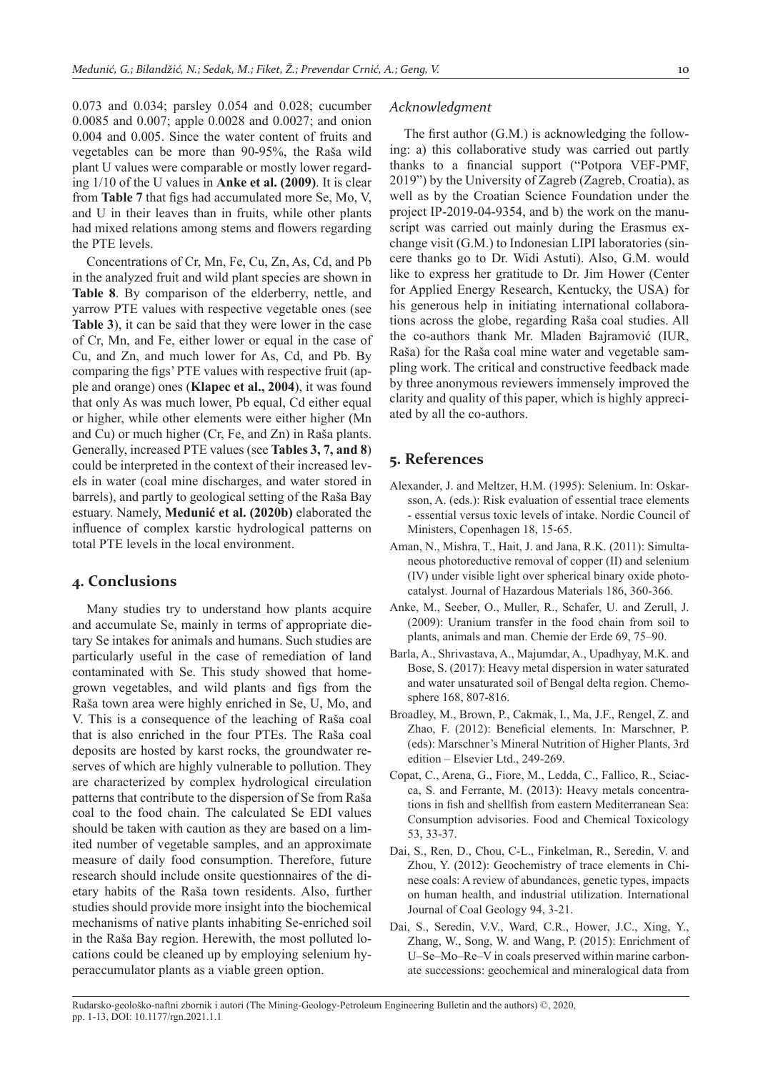0.073 and 0.034; parsley 0.054 and 0.028; cucumber 0.0085 and 0.007; apple 0.0028 and 0.0027; and onion 0.004 and 0.005. Since the water content of fruits and vegetables can be more than 90-95%, the Raša wild plant U values were comparable or mostly lower regarding 1/10 of the U values in **Anke et al. (2009)**. It is clear from **Table 7** that figs had accumulated more Se, Mo, V, and U in their leaves than in fruits, while other plants had mixed relations among stems and flowers regarding the PTE levels.

Concentrations of Cr, Mn, Fe, Cu, Zn, As, Cd, and Pb in the analyzed fruit and wild plant species are shown in **Table 8**. By comparison of the elderberry, nettle, and yarrow PTE values with respective vegetable ones (see **Table 3**), it can be said that they were lower in the case of Cr, Mn, and Fe, either lower or equal in the case of Cu, and Zn, and much lower for As, Cd, and Pb. By comparing the figs' PTE values with respective fruit (apple and orange) ones (**Klapec et al., 2004**), it was found that only As was much lower, Pb equal, Cd either equal or higher, while other elements were either higher (Mn and Cu) or much higher (Cr, Fe, and Zn) in Raša plants. Generally, increased PTE values (see **Tables 3, 7, and 8**) could be interpreted in the context of their increased levels in water (coal mine discharges, and water stored in barrels), and partly to geological setting of the Raša Bay estuary. Namely, **Medunić et al. (2020b)** elaborated the influence of complex karstic hydrological patterns on total PTE levels in the local environment.

## **4. Conclusions**

Many studies try to understand how plants acquire and accumulate Se, mainly in terms of appropriate dietary Se intakes for animals and humans. Such studies are particularly useful in the case of remediation of land contaminated with Se. This study showed that homegrown vegetables, and wild plants and figs from the Raša town area were highly enriched in Se, U, Mo, and V. This is a consequence of the leaching of Raša coal that is also enriched in the four PTEs. The Raša coal deposits are hosted by karst rocks, the groundwater reserves of which are highly vulnerable to pollution. They are characterized by complex hydrological circulation patterns that contribute to the dispersion of Se from Raša coal to the food chain. The calculated Se EDI values should be taken with caution as they are based on a limited number of vegetable samples, and an approximate measure of daily food consumption. Therefore, future research should include onsite questionnaires of the dietary habits of the Raša town residents. Also, further studies should provide more insight into the biochemical mechanisms of native plants inhabiting Se-enriched soil in the Raša Bay region. Herewith, the most polluted locations could be cleaned up by employing selenium hyperaccumulator plants as a viable green option.

#### *Acknowledgment*

The first author  $(G.M.)$  is acknowledging the following: a) this collaborative study was carried out partly thanks to a financial support ("Potpora VEF-PMF, 2019") by the University of Zagreb (Zagreb, Croatia), as well as by the Croatian Science Foundation under the project IP-2019-04-9354, and b) the work on the manuscript was carried out mainly during the Erasmus exchange visit (G.M.) to Indonesian LIPI laboratories (sincere thanks go to Dr. Widi Astuti). Also, G.M. would like to express her gratitude to Dr. Jim Hower (Center for Applied Energy Research, Kentucky, the USA) for his generous help in initiating international collaborations across the globe, regarding Raša coal studies. All the co-authors thank Mr. Mladen Bajramović (IUR, Raša) for the Raša coal mine water and vegetable sampling work. The critical and constructive feedback made by three anonymous reviewers immensely improved the clarity and quality of this paper, which is highly appreciated by all the co-authors.

## **5. References**

- Alexander, J. and Meltzer, H.M. (1995): Selenium. In: Oskarsson, A. (eds.): Risk evaluation of essential trace elements - essential versus toxic levels of intake. Nordic Council of Ministers, Copenhagen 18, 15-65.
- Aman, N., Mishra, T., Hait, J. and Jana, R.K. (2011): Simultaneous photoreductive removal of copper (II) and selenium (IV) under visible light over spherical binary oxide photocatalyst. Journal of Hazardous Materials 186, 360-366.
- Anke, M., Seeber, O., Muller, R., Schafer, U. and Zerull, J. (2009): Uranium transfer in the food chain from soil to plants, animals and man. Chemie der Erde 69, 75–90.
- Barla, A., Shrivastava, A., Majumdar, A., Upadhyay, M.K. and Bose, S. (2017): Heavy metal dispersion in water saturated and water unsaturated soil of Bengal delta region. Chemosphere 168, 807-816.
- Broadley, M., Brown, P., Cakmak, I., Ma, J.F., Rengel, Z. and Zhao, F. (2012): Beneficial elements. In: Marschner, P. (eds): Marschner's Mineral Nutrition of Higher Plants, 3rd edition – Elsevier Ltd., 249-269.
- Copat, C., Arena, G., Fiore, M., Ledda, C., Fallico, R., Sciacca, S. and Ferrante, M. (2013): Heavy metals concentrations in fish and shellfish from eastern Mediterranean Sea: Consumption advisories. Food and Chemical Toxicology 53, 33-37.
- Dai, S., Ren, D., Chou, C-L., Finkelman, R., Seredin, V. and Zhou, Y. (2012): Geochemistry of trace elements in Chinese coals: A review of abundances, genetic types, impacts on human health, and industrial utilization. International Journal of Coal Geology 94, 3-21.
- Dai, S., Seredin, V.V., Ward, C.R., Hower, J.C., Xing, Y., Zhang, W., Song, W. and Wang, P. (2015): Enrichment of U–Se–Mo–Re–V in coals preserved within marine carbonate successions: geochemical and mineralogical data from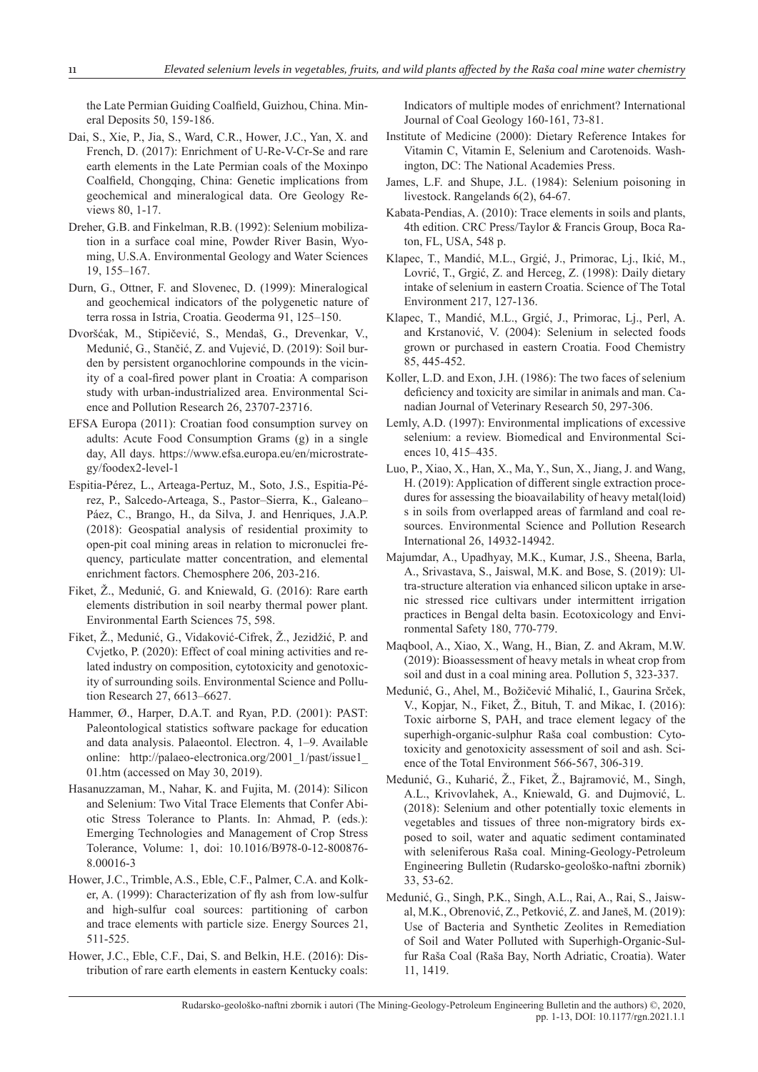the Late Permian Guiding Coalfield, Guizhou, China. Mineral Deposits 50, 159-186.

- Dai, S., Xie, P., Jia, S., Ward, C.R., Hower, J.C., Yan, X. and French, D. (2017): Enrichment of U-Re-V-Cr-Se and rare earth elements in the Late Permian coals of the Moxinpo Coalfield, Chongqing, China: Genetic implications from geochemical and mineralogical data. Ore Geology Reviews 80, 1-17.
- Dreher, G.B. and Finkelman, R.B. (1992): Selenium mobilization in a surface coal mine, Powder River Basin, Wyoming, U.S.A. Environmental Geology and Water Sciences 19, 155–167.
- Durn, G., Ottner, F. and Slovenec, D. (1999): Mineralogical and geochemical indicators of the polygenetic nature of terra rossa in Istria, Croatia. Geoderma 91, 125–150.
- Dvoršćak, M., Stipičević, S., Mendaš, G., Drevenkar, V., Medunić, G., Stančić, Z. and Vujević, D. (2019): Soil burden by persistent organochlorine compounds in the vicinity of a coal-fired power plant in Croatia: A comparison study with urban-industrialized area. Environmental Science and Pollution Research 26, 23707-23716.
- EFSA Europa (2011): Croatian food consumption survey on adults: Acute Food Consumption Grams (g) in a single day, All days. https://www.efsa.europa.eu/en/microstrategy/foodex2-level-1
- Espitia-Pérez, L., Arteaga-Pertuz, M., Soto, J.S., Espitia-Pérez, P., Salcedo-Arteaga, S., Pastor–Sierra, K., Galeano– Páez, C., Brango, H., da Silva, J. and Henriques, J.A.P. (2018): Geospatial analysis of residential proximity to open-pit coal mining areas in relation to micronuclei frequency, particulate matter concentration, and elemental enrichment factors. Chemosphere 206, 203-216.
- Fiket, Ž., Medunić, G. and Kniewald, G. (2016): Rare earth elements distribution in soil nearby thermal power plant. Environmental Earth Sciences 75, 598.
- Fiket, Ž., Medunić, G., Vidaković-Cifrek, Ž., Jezidžić, P. and Cvjetko, P. (2020): Effect of coal mining activities and related industry on composition, cytotoxicity and genotoxicity of surrounding soils. Environmental Science and Pollution Research 27, 6613–6627.
- Hammer, Ø., Harper, D.A.T. and Ryan, P.D. (2001): PAST: Paleontological statistics software package for education and data analysis. Palaeontol. Electron. 4, 1–9. Available online: http://palaeo-electronica.org/2001\_1/past/issue1\_ 01.htm (accessed on May 30, 2019).
- Hasanuzzaman, M., Nahar, K. and Fujita, M. (2014): Silicon and Selenium: Two Vital Trace Elements that Confer Abiotic Stress Tolerance to Plants. In: Ahmad, P. (eds.): Emerging Technologies and Management of Crop Stress Tolerance, Volume: 1, doi: 10.1016/B978-0-12-800876- 8.00016-3
- Hower, J.C., Trimble, A.S., Eble, C.F., Palmer, C.A. and Kolker, A. (1999): Characterization of fly ash from low-sulfur and high-sulfur coal sources: partitioning of carbon and trace elements with particle size. Energy Sources 21, 511-525.
- Hower, J.C., Eble, C.F., Dai, S. and Belkin, H.E. (2016): Distribution of rare earth elements in eastern Kentucky coals:

Indicators of multiple modes of enrichment? International Journal of Coal Geology 160-161, 73-81.

- Institute of Medicine (2000): Dietary Reference Intakes for Vitamin C, Vitamin E, Selenium and Carotenoids. Washington, DC: The National Academies Press.
- James, L.F. and Shupe, J.L. (1984): Selenium poisoning in livestock. Rangelands 6(2), 64-67.
- Kabata-Pendias, A. (2010): Trace elements in soils and plants, 4th edition. CRC Press/Taylor & Francis Group, Boca Raton, FL, USA, 548 p.
- Klapec, T., Mandić, M.L., Grgić, J., Primorac, Lj., Ikić, M., Lovrić, T., Grgić, Z. and Herceg, Z. (1998): Daily dietary intake of selenium in eastern Croatia. Science of The Total Environment 217, 127-136.
- Klapec, T., Mandić, M.L., Grgić, J., Primorac, Lj., Perl, A. and Krstanović, V. (2004): Selenium in selected foods grown or purchased in eastern Croatia. Food Chemistry 85, 445-452.
- Koller, L.D. and Exon, J.H. (1986): The two faces of selenium deficiency and toxicity are similar in animals and man. Canadian Journal of Veterinary Research 50, 297-306.
- Lemly, A.D. (1997): Environmental implications of excessive selenium: a review. Biomedical and Environmental Sciences 10, 415–435.
- Luo, P., Xiao, X., Han, X., Ma, Y., Sun, X., Jiang, J. and Wang, H. (2019): Application of different single extraction procedures for assessing the bioavailability of heavy metal(loid) s in soils from overlapped areas of farmland and coal resources. Environmental Science and Pollution Research International 26, 14932-14942.
- Majumdar, A., Upadhyay, M.K., Kumar, J.S., Sheena, Barla, A., Srivastava, S., Jaiswal, M.K. and Bose, S. (2019): Ultra-structure alteration via enhanced silicon uptake in arsenic stressed rice cultivars under intermittent irrigation practices in Bengal delta basin. Ecotoxicology and Environmental Safety 180, 770-779.
- Maqbool, A., Xiao, X., Wang, H., Bian, Z. and Akram, M.W. (2019): Bioassessment of heavy metals in wheat crop from soil and dust in a coal mining area. Pollution 5, 323-337.
- Medunić, G., Ahel, M., Božičević Mihalić, I., Gaurina Srček, V., Kopjar, N., Fiket, Ž., Bituh, T. and Mikac, I. (2016): Toxic airborne S, PAH, and trace element legacy of the superhigh-organic-sulphur Raša coal combustion: Cytotoxicity and genotoxicity assessment of soil and ash. Science of the Total Environment 566-567, 306-319.
- Medunić, G., Kuharić, Ž., Fiket, Ž., Bajramović, M., Singh, A.L., Krivovlahek, A., Kniewald, G. and Dujmović, L. (2018): Selenium and other potentially toxic elements in vegetables and tissues of three non-migratory birds exposed to soil, water and aquatic sediment contaminated with seleniferous Raša coal. Mining-Geology-Petroleum Engineering Bulletin (Rudarsko-geološko-naftni zbornik) 33, 53-62.
- Medunić, G., Singh, P.K., Singh, A.L., Rai, A., Rai, S., Jaiswal, M.K., Obrenović, Z., Petković, Z. and Janeš, M. (2019): Use of Bacteria and Synthetic Zeolites in Remediation of Soil and Water Polluted with Superhigh-Organic-Sulfur Raša Coal (Raša Bay, North Adriatic, Croatia). Water 11, 1419.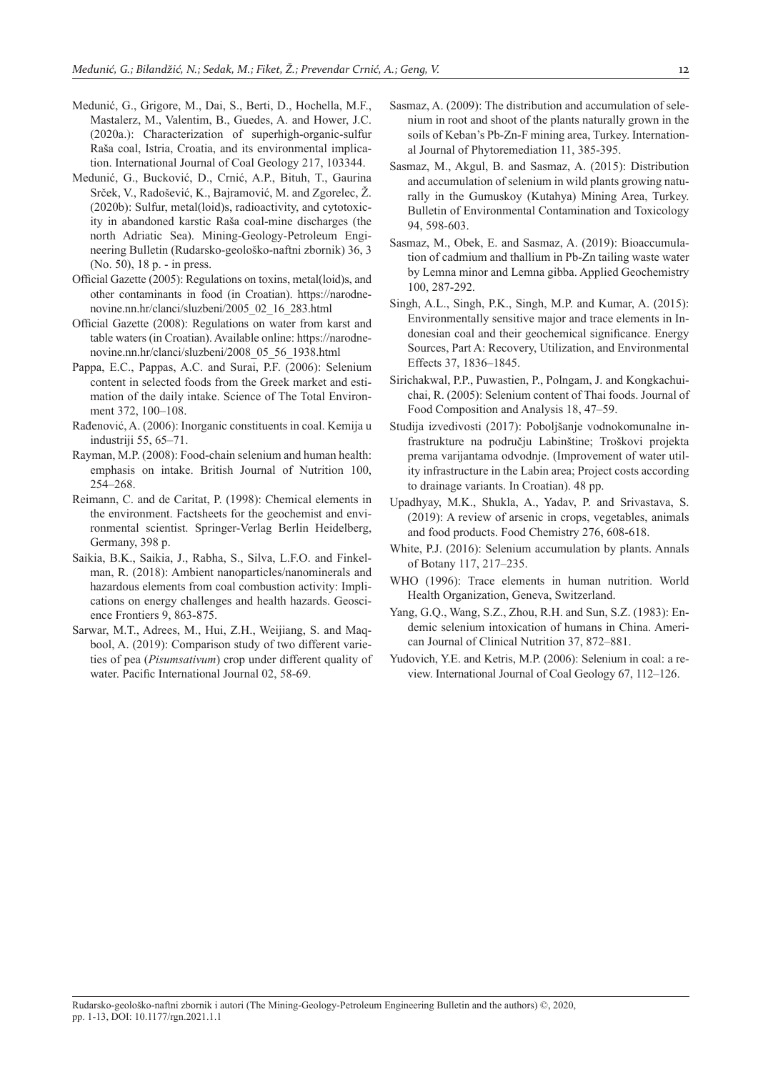- Medunić, G., Grigore, M., Dai, S., Berti, D., Hochella, M.F., Mastalerz, M., Valentim, B., Guedes, A. and Hower, J.C. (2020a.): Characterization of superhigh-organic-sulfur Raša coal, Istria, Croatia, and its environmental implication. International Journal of Coal Geology 217, 103344.
- Medunić, G., Bucković, D., Crnić, A.P., Bituh, T., Gaurina Srček, V., Radošević, K., Bajramović, M. and Zgorelec, Ž. (2020b): Sulfur, metal(loid)s, radioactivity, and cytotoxicity in abandoned karstic Raša coal-mine discharges (the north Adriatic Sea). Mining-Geology-Petroleum Engineering Bulletin (Rudarsko-geološko-naftni zbornik) 36, 3 (No. 50), 18 p. - in press.
- Official Gazette (2005): Regulations on toxins, metal(loid)s, and other contaminants in food (in Croatian). https://narodnenovine.nn.hr/clanci/sluzbeni/2005\_02\_16\_283.html
- Official Gazette (2008): Regulations on water from karst and table waters (in Croatian). Available online: https://narodnenovine.nn.hr/clanci/sluzbeni/2008\_05\_56\_1938.html
- Pappa, E.C., Pappas, A.C. and Surai, P.F. (2006): Selenium content in selected foods from the Greek market and estimation of the daily intake. Science of The Total Environment 372, 100–108.
- Rađenović, A. (2006): Inorganic constituents in coal. Kemija u industriji 55, 65–71.
- Rayman, M.P. (2008): Food-chain selenium and human health: emphasis on intake. British Journal of Nutrition 100, 254–268.
- Reimann, C. and de Caritat, P. (1998): Chemical elements in the environment. Factsheets for the geochemist and environmental scientist. Springer-Verlag Berlin Heidelberg, Germany, 398 p.
- Saikia, B.K., Saikia, J., Rabha, S., Silva, L.F.O. and Finkelman, R. (2018): Ambient nanoparticles/nanominerals and hazardous elements from coal combustion activity: Implications on energy challenges and health hazards. Geoscience Frontiers 9, 863-875.
- Sarwar, M.T., Adrees, M., Hui, Z.H., Weijiang, S. and Maqbool, A. (2019): Comparison study of two different varieties of pea (*Pisumsativum*) crop under different quality of water. Pacific International Journal 02, 58-69.
- Sasmaz, A. (2009): The distribution and accumulation of selenium in root and shoot of the plants naturally grown in the soils of Keban's Pb-Zn-F mining area, Turkey. International Journal of Phytoremediation 11, 385-395.
- Sasmaz, M., Akgul, B. and Sasmaz, A. (2015): Distribution and accumulation of selenium in wild plants growing naturally in the Gumuskoy (Kutahya) Mining Area, Turkey. Bulletin of Environmental Contamination and Toxicology 94, 598-603.
- Sasmaz, M., Obek, E. and Sasmaz, A. (2019): Bioaccumulation of cadmium and thallium in Pb-Zn tailing waste water by Lemna minor and Lemna gibba. Applied Geochemistry 100, 287-292.
- Singh, A.L., Singh, P.K., Singh, M.P. and Kumar, A. (2015): Environmentally sensitive major and trace elements in Indonesian coal and their geochemical significance. Energy Sources, Part A: Recovery, Utilization, and Environmental Effects 37, 1836–1845.
- Sirichakwal, P.P., Puwastien, P., Polngam, J. and Kongkachuichai, R. (2005): Selenium content of Thai foods. Journal of Food Composition and Analysis 18, 47–59.
- Studija izvedivosti (2017): Poboljšanje vodnokomunalne infrastrukture na području Labinštine; Troškovi projekta prema varijantama odvodnje. (Improvement of water utility infrastructure in the Labin area; Project costs according to drainage variants. In Croatian). 48 pp.
- Upadhyay, M.K., Shukla, A., Yadav, P. and Srivastava, S. (2019): A review of arsenic in crops, vegetables, animals and food products. Food Chemistry 276, 608-618.
- White, P.J. (2016): Selenium accumulation by plants. Annals of Botany 117, 217–235.
- WHO (1996): Trace elements in human nutrition. World Health Organization, Geneva, Switzerland.
- Yang, G.Q., Wang, S.Z., Zhou, R.H. and Sun, S.Z. (1983): Endemic selenium intoxication of humans in China. American Journal of Clinical Nutrition 37, 872–881.
- Yudovich, Y.E. and Ketris, M.P. (2006): Selenium in coal: a review. International Journal of Coal Geology 67, 112–126.